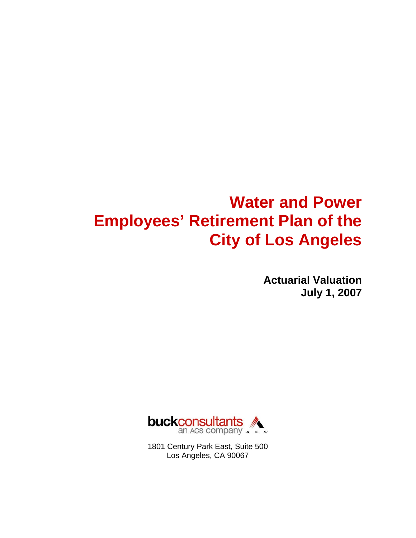# **Water and Power Employees' Retirement Plan of the City of Los Angeles**

**Actuarial Valuation July 1, 2007** 



1801 Century Park East, Suite 500 Los Angeles, CA 90067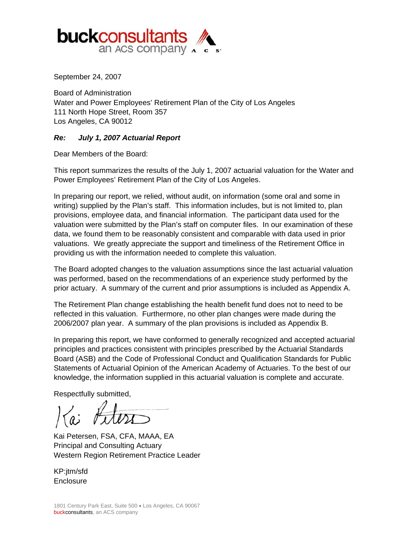

September 24, 2007

Board of Administration Water and Power Employees' Retirement Plan of the City of Los Angeles 111 North Hope Street, Room 357 Los Angeles, CA 90012

#### *Re: July 1, 2007 Actuarial Report*

Dear Members of the Board:

This report summarizes the results of the July 1, 2007 actuarial valuation for the Water and Power Employees' Retirement Plan of the City of Los Angeles.

In preparing our report, we relied, without audit, on information (some oral and some in writing) supplied by the Plan's staff. This information includes, but is not limited to, plan provisions, employee data, and financial information. The participant data used for the valuation were submitted by the Plan's staff on computer files. In our examination of these data, we found them to be reasonably consistent and comparable with data used in prior valuations. We greatly appreciate the support and timeliness of the Retirement Office in providing us with the information needed to complete this valuation.

The Board adopted changes to the valuation assumptions since the last actuarial valuation was performed, based on the recommendations of an experience study performed by the prior actuary. A summary of the current and prior assumptions is included as Appendix A.

The Retirement Plan change establishing the health benefit fund does not to need to be reflected in this valuation. Furthermore, no other plan changes were made during the 2006/2007 plan year. A summary of the plan provisions is included as Appendix B.

In preparing this report, we have conformed to generally recognized and accepted actuarial principles and practices consistent with principles prescribed by the Actuarial Standards Board (ASB) and the Code of Professional Conduct and Qualification Standards for Public Statements of Actuarial Opinion of the American Academy of Actuaries. To the best of our knowledge, the information supplied in this actuarial valuation is complete and accurate.

Respectfully submitted,

Kai Petersen, FSA, CFA, MAAA, EA Principal and Consulting Actuary Western Region Retirement Practice Leader

KP:jtm/sfd **Enclosure**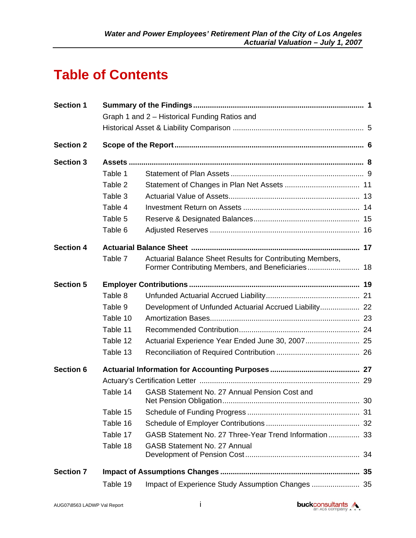## **Table of Contents**

| <b>Section 1</b> | Graph 1 and 2 - Historical Funding Ratios and |                                                           |    |  |  |
|------------------|-----------------------------------------------|-----------------------------------------------------------|----|--|--|
|                  |                                               |                                                           |    |  |  |
| <b>Section 2</b> |                                               |                                                           |    |  |  |
| <b>Section 3</b> |                                               |                                                           |    |  |  |
|                  | Table 1                                       |                                                           |    |  |  |
|                  | Table 2                                       |                                                           |    |  |  |
|                  | Table 3                                       |                                                           |    |  |  |
|                  | Table 4                                       |                                                           |    |  |  |
|                  | Table 5                                       |                                                           |    |  |  |
|                  | Table 6                                       |                                                           |    |  |  |
| <b>Section 4</b> |                                               |                                                           |    |  |  |
|                  | Table 7                                       | Actuarial Balance Sheet Results for Contributing Members, |    |  |  |
| <b>Section 5</b> |                                               |                                                           |    |  |  |
|                  | Table 8                                       |                                                           |    |  |  |
|                  | Table 9                                       | Development of Unfunded Actuarial Accrued Liability 22    |    |  |  |
|                  | Table 10                                      |                                                           |    |  |  |
|                  | Table 11                                      |                                                           |    |  |  |
|                  | Table 12                                      |                                                           |    |  |  |
|                  | Table 13                                      |                                                           |    |  |  |
| <b>Section 6</b> |                                               |                                                           |    |  |  |
|                  |                                               |                                                           |    |  |  |
|                  | Table 14                                      | GASB Statement No. 27 Annual Pension Cost and             | 30 |  |  |
|                  | Table 15                                      |                                                           |    |  |  |
|                  | Table 16                                      |                                                           |    |  |  |
|                  | Table 17                                      | GASB Statement No. 27 Three-Year Trend Information 33     |    |  |  |
|                  | Table 18                                      | <b>GASB Statement No. 27 Annual</b>                       | 34 |  |  |
| <b>Section 7</b> |                                               |                                                           | 35 |  |  |
|                  | Table 19                                      | Impact of Experience Study Assumption Changes  35         |    |  |  |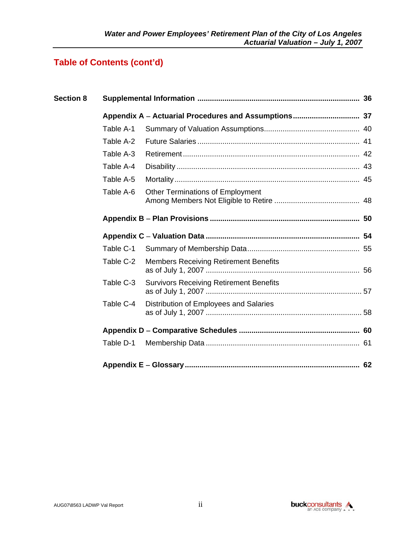## **Table of Contents (cont'd)**

| <b>Section 8</b> |           |                                                |  |  |  |  |
|------------------|-----------|------------------------------------------------|--|--|--|--|
|                  |           |                                                |  |  |  |  |
|                  | Table A-1 |                                                |  |  |  |  |
|                  | Table A-2 |                                                |  |  |  |  |
|                  | Table A-3 |                                                |  |  |  |  |
|                  | Table A-4 |                                                |  |  |  |  |
|                  | Table A-5 |                                                |  |  |  |  |
|                  | Table A-6 | <b>Other Terminations of Employment</b>        |  |  |  |  |
|                  |           |                                                |  |  |  |  |
|                  |           |                                                |  |  |  |  |
|                  | Table C-1 |                                                |  |  |  |  |
|                  | Table C-2 | <b>Members Receiving Retirement Benefits</b>   |  |  |  |  |
|                  | Table C-3 | <b>Survivors Receiving Retirement Benefits</b> |  |  |  |  |
|                  | Table C-4 | Distribution of Employees and Salaries         |  |  |  |  |
|                  |           |                                                |  |  |  |  |
|                  | Table D-1 |                                                |  |  |  |  |
|                  |           |                                                |  |  |  |  |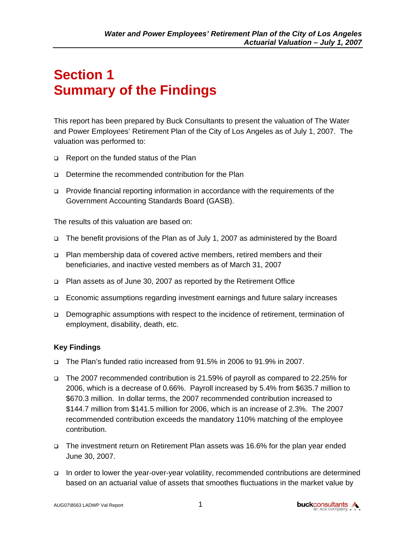# **Section 1 Summary of the Findings**

This report has been prepared by Buck Consultants to present the valuation of The Water and Power Employees' Retirement Plan of the City of Los Angeles as of July 1, 2007. The valuation was performed to:

- □ Report on the funded status of the Plan
- Determine the recommended contribution for the Plan
- Provide financial reporting information in accordance with the requirements of the Government Accounting Standards Board (GASB).

The results of this valuation are based on:

- The benefit provisions of the Plan as of July 1, 2007 as administered by the Board
- Plan membership data of covered active members, retired members and their beneficiaries, and inactive vested members as of March 31, 2007
- Plan assets as of June 30, 2007 as reported by the Retirement Office
- Economic assumptions regarding investment earnings and future salary increases
- Demographic assumptions with respect to the incidence of retirement, termination of employment, disability, death, etc.

#### **Key Findings**

- The Plan's funded ratio increased from 91.5% in 2006 to 91.9% in 2007.
- The 2007 recommended contribution is 21.59% of payroll as compared to 22.25% for 2006, which is a decrease of 0.66%. Payroll increased by 5.4% from \$635.7 million to \$670.3 million. In dollar terms, the 2007 recommended contribution increased to \$144.7 million from \$141.5 million for 2006, which is an increase of 2.3%. The 2007 recommended contribution exceeds the mandatory 110% matching of the employee contribution.
- The investment return on Retirement Plan assets was 16.6% for the plan year ended June 30, 2007.
- In order to lower the year-over-year volatility, recommended contributions are determined based on an actuarial value of assets that smoothes fluctuations in the market value by

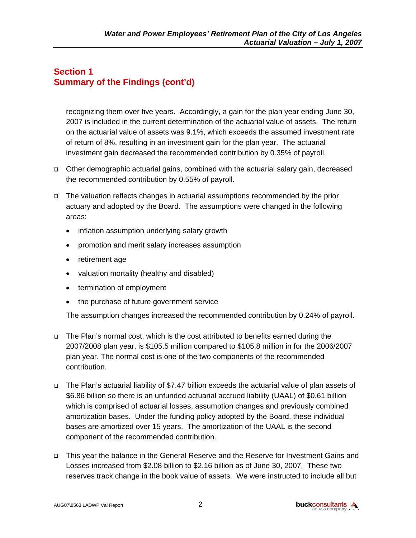#### **Section 1 Summary of the Findings (cont'd)**

recognizing them over five years. Accordingly, a gain for the plan year ending June 30, 2007 is included in the current determination of the actuarial value of assets. The return on the actuarial value of assets was 9.1%, which exceeds the assumed investment rate of return of 8%, resulting in an investment gain for the plan year. The actuarial investment gain decreased the recommended contribution by 0.35% of payroll.

- Other demographic actuarial gains, combined with the actuarial salary gain, decreased the recommended contribution by 0.55% of payroll.
- The valuation reflects changes in actuarial assumptions recommended by the prior actuary and adopted by the Board. The assumptions were changed in the following areas:
	- inflation assumption underlying salary growth
	- promotion and merit salary increases assumption
	- retirement age
	- valuation mortality (healthy and disabled)
	- termination of employment
	- the purchase of future government service

The assumption changes increased the recommended contribution by 0.24% of payroll.

- □ The Plan's normal cost, which is the cost attributed to benefits earned during the 2007/2008 plan year, is \$105.5 million compared to \$105.8 million in for the 2006/2007 plan year. The normal cost is one of the two components of the recommended contribution.
- The Plan's actuarial liability of \$7.47 billion exceeds the actuarial value of plan assets of \$6.86 billion so there is an unfunded actuarial accrued liability (UAAL) of \$0.61 billion which is comprised of actuarial losses, assumption changes and previously combined amortization bases. Under the funding policy adopted by the Board, these individual bases are amortized over 15 years. The amortization of the UAAL is the second component of the recommended contribution.
- This year the balance in the General Reserve and the Reserve for Investment Gains and Losses increased from \$2.08 billion to \$2.16 billion as of June 30, 2007. These two reserves track change in the book value of assets. We were instructed to include all but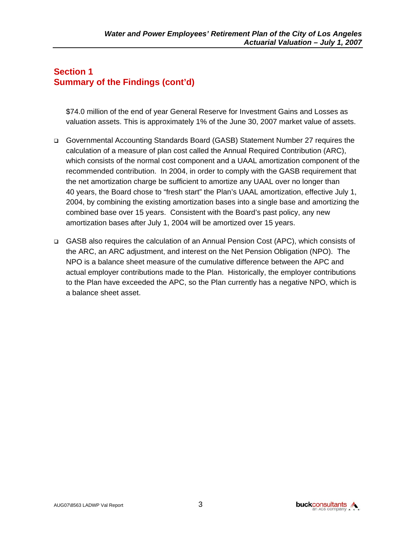### **Section 1 Summary of the Findings (cont'd)**

\$74.0 million of the end of year General Reserve for Investment Gains and Losses as valuation assets. This is approximately 1% of the June 30, 2007 market value of assets.

- Governmental Accounting Standards Board (GASB) Statement Number 27 requires the calculation of a measure of plan cost called the Annual Required Contribution (ARC), which consists of the normal cost component and a UAAL amortization component of the recommended contribution. In 2004, in order to comply with the GASB requirement that the net amortization charge be sufficient to amortize any UAAL over no longer than 40 years, the Board chose to "fresh start" the Plan's UAAL amortization, effective July 1, 2004, by combining the existing amortization bases into a single base and amortizing the combined base over 15 years. Consistent with the Board's past policy, any new amortization bases after July 1, 2004 will be amortized over 15 years.
- GASB also requires the calculation of an Annual Pension Cost (APC), which consists of the ARC, an ARC adjustment, and interest on the Net Pension Obligation (NPO). The NPO is a balance sheet measure of the cumulative difference between the APC and actual employer contributions made to the Plan. Historically, the employer contributions to the Plan have exceeded the APC, so the Plan currently has a negative NPO, which is a balance sheet asset.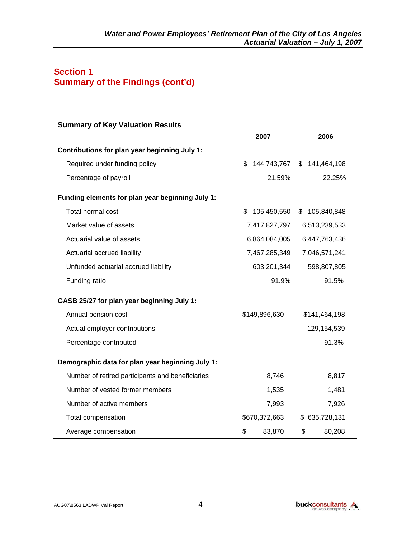### **Section 1 Summary of the Findings (cont'd)**

| <b>Summary of Key Valuation Results</b>          |                  |                   |
|--------------------------------------------------|------------------|-------------------|
|                                                  | 2007             | 2006              |
| Contributions for plan year beginning July 1:    |                  |                   |
| Required under funding policy                    | \$144,743,767    | \$141,464,198     |
| Percentage of payroll                            | 21.59%           | 22.25%            |
| Funding elements for plan year beginning July 1: |                  |                   |
| Total normal cost                                | 105,450,550<br>S | 105,840,848<br>\$ |
| Market value of assets                           | 7,417,827,797    | 6,513,239,533     |
| Actuarial value of assets                        | 6,864,084,005    | 6,447,763,436     |
| Actuarial accrued liability                      | 7,467,285,349    | 7,046,571,241     |
| Unfunded actuarial accrued liability             | 603,201,344      | 598,807,805       |
| Funding ratio                                    | 91.9%            | 91.5%             |
| GASB 25/27 for plan year beginning July 1:       |                  |                   |
| Annual pension cost                              | \$149,896,630    | \$141,464,198     |
| Actual employer contributions                    |                  | 129,154,539       |
| Percentage contributed                           |                  | 91.3%             |
| Demographic data for plan year beginning July 1: |                  |                   |
| Number of retired participants and beneficiaries | 8,746            | 8,817             |
| Number of vested former members                  | 1,535            | 1,481             |
| Number of active members                         | 7,993            | 7,926             |
| Total compensation                               | \$670,372,663    | \$635,728,131     |
| Average compensation                             | \$<br>83,870     | \$<br>80,208      |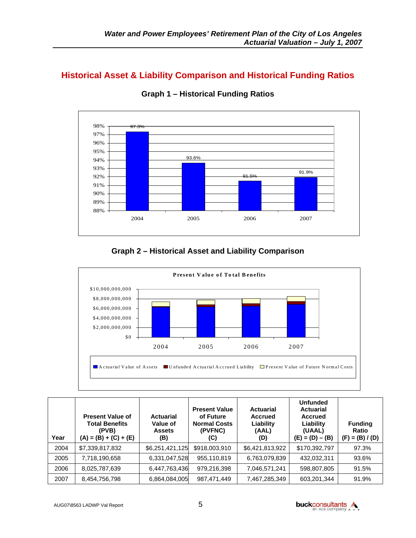### **Historical Asset & Liability Comparison and Historical Funding Ratios**



**Graph 1 – Historical Funding Ratios** 

#### **Graph 2 – Historical Asset and Liability Comparison**



| Year | <b>Present Value of</b><br><b>Total Benefits</b><br>(PVB)<br>$(A) = (B) + (C) + (E)$ | <b>Actuarial</b><br>Value of<br><b>Assets</b><br>(B) | <b>Present Value</b><br>of Future<br><b>Normal Costs</b><br>(PVFNC)<br>(C) | <b>Actuarial</b><br><b>Accrued</b><br>Liability<br>(AAL)<br>(D) | <b>Unfunded</b><br><b>Actuarial</b><br>Accrued<br>Liability<br>(UAAL)<br>$(E) = (D) - (B)$ | <b>Funding</b><br>Ratio<br>$(F) = (B) / (D)$ |
|------|--------------------------------------------------------------------------------------|------------------------------------------------------|----------------------------------------------------------------------------|-----------------------------------------------------------------|--------------------------------------------------------------------------------------------|----------------------------------------------|
| 2004 | \$7,339,817,832                                                                      | \$6,251,421,125                                      | \$918,003,910                                                              | \$6,421,813,922                                                 | \$170,392,797                                                                              | 97.3%                                        |
| 2005 | 7,718,190,658                                                                        | 6,331,047,528                                        | 955,110,819                                                                | 6,763,079,839                                                   | 432,032,311                                                                                | 93.6%                                        |
| 2006 | 8,025,787,639                                                                        | 6,447,763,436                                        | 979,216,398                                                                | 7,046,571,241                                                   | 598,807,805                                                                                | 91.5%                                        |
| 2007 | 8,454,756,798                                                                        | 6,864,084,005                                        | 987,471,449                                                                | 7,467,285,349                                                   | 603,201,344                                                                                | 91.9%                                        |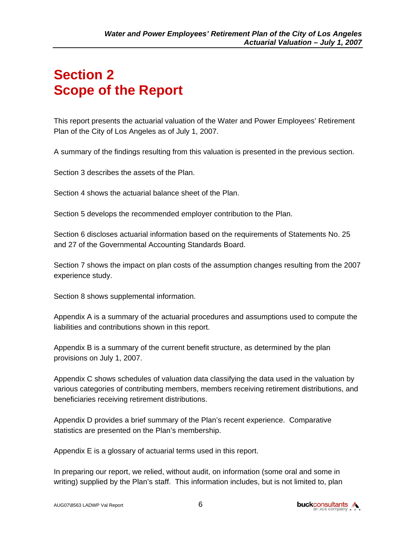## **Section 2 Scope of the Report**

This report presents the actuarial valuation of the Water and Power Employees' Retirement Plan of the City of Los Angeles as of July 1, 2007.

A summary of the findings resulting from this valuation is presented in the previous section.

Section 3 describes the assets of the Plan.

Section 4 shows the actuarial balance sheet of the Plan.

Section 5 develops the recommended employer contribution to the Plan.

Section 6 discloses actuarial information based on the requirements of Statements No. 25 and 27 of the Governmental Accounting Standards Board.

Section 7 shows the impact on plan costs of the assumption changes resulting from the 2007 experience study.

Section 8 shows supplemental information.

Appendix A is a summary of the actuarial procedures and assumptions used to compute the liabilities and contributions shown in this report.

Appendix B is a summary of the current benefit structure, as determined by the plan provisions on July 1, 2007.

Appendix C shows schedules of valuation data classifying the data used in the valuation by various categories of contributing members, members receiving retirement distributions, and beneficiaries receiving retirement distributions.

Appendix D provides a brief summary of the Plan's recent experience. Comparative statistics are presented on the Plan's membership.

Appendix E is a glossary of actuarial terms used in this report.

In preparing our report, we relied, without audit, on information (some oral and some in writing) supplied by the Plan's staff. This information includes, but is not limited to, plan

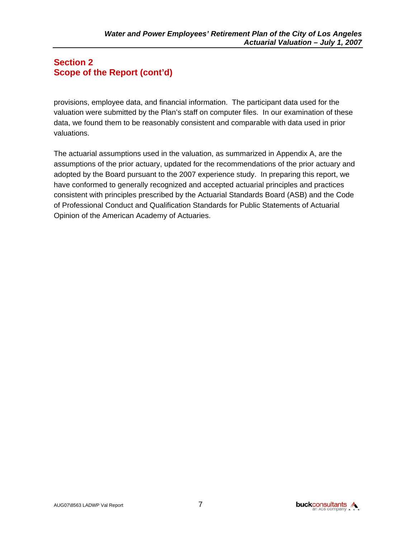#### **Section 2 Scope of the Report (cont'd)**

provisions, employee data, and financial information. The participant data used for the valuation were submitted by the Plan's staff on computer files. In our examination of these data, we found them to be reasonably consistent and comparable with data used in prior valuations.

The actuarial assumptions used in the valuation, as summarized in Appendix A, are the assumptions of the prior actuary, updated for the recommendations of the prior actuary and adopted by the Board pursuant to the 2007 experience study. In preparing this report, we have conformed to generally recognized and accepted actuarial principles and practices consistent with principles prescribed by the Actuarial Standards Board (ASB) and the Code of Professional Conduct and Qualification Standards for Public Statements of Actuarial Opinion of the American Academy of Actuaries.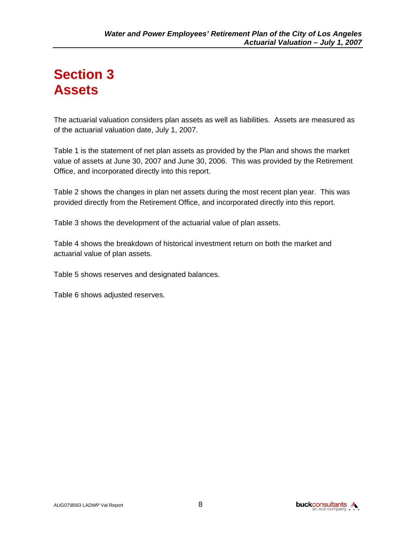## **Section 3 Assets**

The actuarial valuation considers plan assets as well as liabilities. Assets are measured as of the actuarial valuation date, July 1, 2007.

Table 1 is the statement of net plan assets as provided by the Plan and shows the market value of assets at June 30, 2007 and June 30, 2006. This was provided by the Retirement Office, and incorporated directly into this report.

Table 2 shows the changes in plan net assets during the most recent plan year. This was provided directly from the Retirement Office, and incorporated directly into this report.

Table 3 shows the development of the actuarial value of plan assets.

Table 4 shows the breakdown of historical investment return on both the market and actuarial value of plan assets.

Table 5 shows reserves and designated balances.

Table 6 shows adjusted reserves.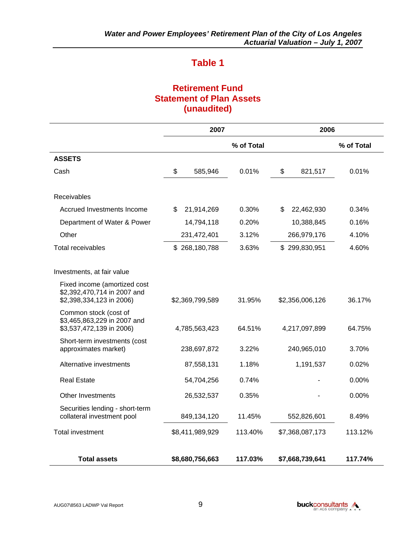### **Retirement Fund Statement of Plan Assets (unaudited)**

|                                                                                         | 2007             |            | 2006             |            |  |
|-----------------------------------------------------------------------------------------|------------------|------------|------------------|------------|--|
|                                                                                         |                  | % of Total |                  | % of Total |  |
| <b>ASSETS</b>                                                                           |                  |            |                  |            |  |
| Cash                                                                                    | \$<br>585,946    | 0.01%      | \$<br>821,517    | 0.01%      |  |
|                                                                                         |                  |            |                  |            |  |
| Receivables                                                                             |                  |            |                  |            |  |
| Accrued Investments Income                                                              | \$<br>21,914,269 | 0.30%      | \$<br>22,462,930 | 0.34%      |  |
| Department of Water & Power                                                             | 14,794,118       | 0.20%      | 10,388,845       | 0.16%      |  |
| Other                                                                                   | 231,472,401      | 3.12%      | 266,979,176      | 4.10%      |  |
| <b>Total receivables</b>                                                                | \$268,180,788    | 3.63%      | \$299,830,951    | 4.60%      |  |
| Investments, at fair value                                                              |                  |            |                  |            |  |
| Fixed income (amortized cost<br>\$2,392,470,714 in 2007 and<br>\$2,398,334,123 in 2006) | \$2,369,799,589  | 31.95%     | \$2,356,006,126  | 36.17%     |  |
| Common stock (cost of<br>\$3,465,863,229 in 2007 and<br>\$3,537,472,139 in 2006)        | 4,785,563,423    | 64.51%     | 4,217,097,899    | 64.75%     |  |
| Short-term investments (cost<br>approximates market)                                    | 238,697,872      | 3.22%      | 240,965,010      | 3.70%      |  |
| Alternative investments                                                                 | 87,558,131       | 1.18%      | 1,191,537        | 0.02%      |  |
| <b>Real Estate</b>                                                                      | 54,704,256       | 0.74%      |                  | 0.00%      |  |
| <b>Other Investments</b>                                                                | 26,532,537       | 0.35%      |                  | 0.00%      |  |
| Securities lending - short-term<br>collateral investment pool                           | 849,134,120      | 11.45%     | 552,826,601      | 8.49%      |  |
| <b>Total investment</b>                                                                 | \$8,411,989,929  | 113.40%    | \$7,368,087,173  | 113.12%    |  |
|                                                                                         |                  |            |                  |            |  |
| <b>Total assets</b>                                                                     | \$8,680,756,663  | 117.03%    | \$7,668,739,641  | 117.74%    |  |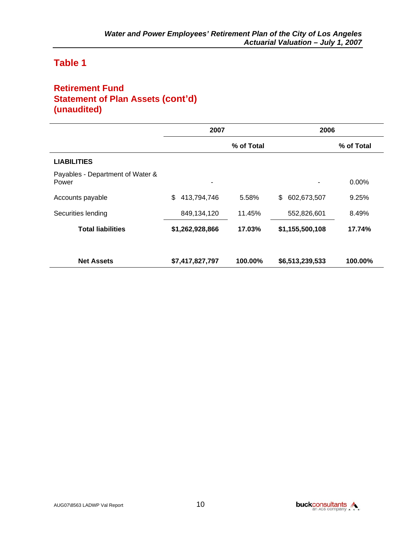### **Retirement Fund Statement of Plan Assets (cont'd) (unaudited)**

|                                           | 2007              |            | 2006              |            |
|-------------------------------------------|-------------------|------------|-------------------|------------|
|                                           |                   | % of Total |                   | % of Total |
| <b>LIABILITIES</b>                        |                   |            |                   |            |
| Payables - Department of Water &<br>Power | ٠                 |            | ۰                 | 0.00%      |
| Accounts payable                          | \$<br>413,794,746 | 5.58%      | \$<br>602,673,507 | 9.25%      |
| Securities lending                        | 849,134,120       | 11.45%     | 552,826,601       | 8.49%      |
| <b>Total liabilities</b>                  | \$1,262,928,866   | 17.03%     | \$1,155,500,108   | 17.74%     |
| <b>Net Assets</b>                         | \$7,417,827,797   | 100.00%    | \$6,513,239,533   | 100.00%    |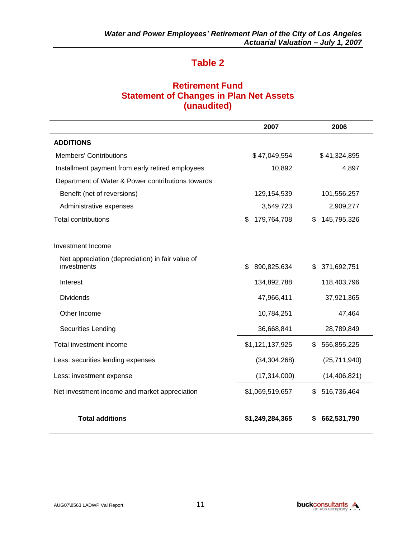### **Retirement Fund Statement of Changes in Plan Net Assets (unaudited)**

|                                                                 | 2007              | 2006              |
|-----------------------------------------------------------------|-------------------|-------------------|
| <b>ADDITIONS</b>                                                |                   |                   |
| <b>Members' Contributions</b>                                   | \$47,049,554      | \$41,324,895      |
| Installment payment from early retired employees                | 10,892            | 4,897             |
| Department of Water & Power contributions towards:              |                   |                   |
| Benefit (net of reversions)                                     | 129,154,539       | 101,556,257       |
| Administrative expenses                                         | 3,549,723         | 2,909,277         |
| <b>Total contributions</b>                                      | \$<br>179,764,708 | \$<br>145,795,326 |
| Investment Income                                               |                   |                   |
| Net appreciation (depreciation) in fair value of<br>investments | \$<br>890,825,634 | 371,692,751<br>\$ |
| Interest                                                        | 134,892,788       | 118,403,796       |
| <b>Dividends</b>                                                | 47,966,411        | 37,921,365        |
| Other Income                                                    | 10,784,251        | 47,464            |
| <b>Securities Lending</b>                                       | 36,668,841        | 28,789,849        |
| Total investment income                                         | \$1,121,137,925   | 556,855,225<br>\$ |
| Less: securities lending expenses                               | (34, 304, 268)    | (25, 711, 940)    |
| Less: investment expense                                        | (17, 314, 000)    | (14, 406, 821)    |
| Net investment income and market appreciation                   | \$1,069,519,657   | 516,736,464<br>\$ |
| <b>Total additions</b>                                          | \$1,249,284,365   | 662,531,790       |

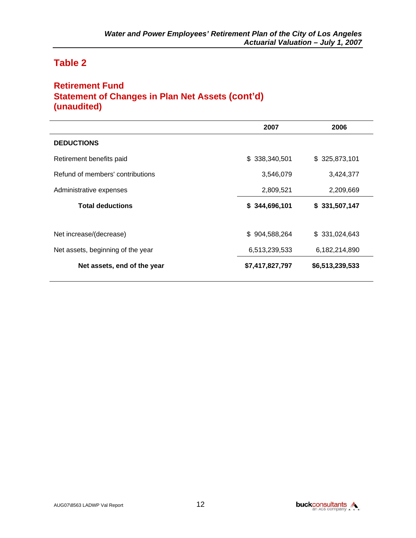### **Retirement Fund Statement of Changes in Plan Net Assets (cont'd) (unaudited)**

|                                   | 2007            | 2006            |
|-----------------------------------|-----------------|-----------------|
| <b>DEDUCTIONS</b>                 |                 |                 |
| Retirement benefits paid          | \$338,340,501   | \$325,873,101   |
| Refund of members' contributions  | 3,546,079       | 3,424,377       |
| Administrative expenses           | 2,809,521       | 2,209,669       |
| <b>Total deductions</b>           | \$344,696,101   | \$331,507,147   |
| Net increase/(decrease)           | \$904,588,264   | \$331,024,643   |
| Net assets, beginning of the year | 6,513,239,533   | 6,182,214,890   |
| Net assets, end of the year       | \$7,417,827,797 | \$6,513,239,533 |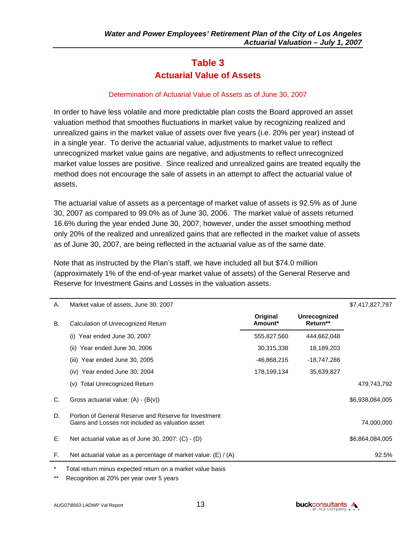## **Table 3 Actuarial Value of Assets**

#### Determination of Actuarial Value of Assets as of June 30, 2007

In order to have less volatile and more predictable plan costs the Board approved an asset valuation method that smoothes fluctuations in market value by recognizing realized and unrealized gains in the market value of assets over five years (i.e. 20% per year) instead of in a single year. To derive the actuarial value, adjustments to market value to reflect unrecognized market value gains are negative, and adjustments to reflect unrecognized market value losses are positive. Since realized and unrealized gains are treated equally the method does not encourage the sale of assets in an attempt to affect the actuarial value of assets.

The actuarial value of assets as a percentage of market value of assets is 92.5% as of June 30, 2007 as compared to 99.0% as of June 30, 2006. The market value of assets returned 16.6% during the year ended June 30, 2007, however, under the asset smoothing method only 20% of the realized and unrealized gains that are reflected in the market value of assets as of June 30, 2007, are being reflected in the actuarial value as of the same date.

Note that as instructed by the Plan's staff, we have included all but \$74.0 million (approximately 1% of the end-of-year market value of assets) of the General Reserve and Reserve for Investment Gains and Losses in the valuation assets.

| Original<br>Unrecognized<br>Return**<br>Amount*<br><b>B.</b><br>Calculation of Unrecognized Return<br>555,827,560<br>Year ended June 30, 2007<br>444,662,048<br>(1)<br>30,315,338<br>18,189,203<br>Year ended June 30, 2006<br>(ii)<br>(iii) Year ended June 30, 2005<br>-46,868,215<br>-18,747,286<br>$(iv)$ Year ended June 30, 2004<br>178,199,134<br>35,639,827<br><b>Total Unrecognized Return</b><br>(v)<br>C.<br>Gross actuarial value: $(A) - (B(v))$<br>D.<br>Portion of General Reserve and Reserve for Investment<br>Gains and Losses not included as valuation asset<br>Е.<br>Net actuarial value as of June 30, 2007: $(C) - (D)$ | Α. | Market value of assets, June 30, 2007                          |  | \$7,417,827,797 |
|------------------------------------------------------------------------------------------------------------------------------------------------------------------------------------------------------------------------------------------------------------------------------------------------------------------------------------------------------------------------------------------------------------------------------------------------------------------------------------------------------------------------------------------------------------------------------------------------------------------------------------------------|----|----------------------------------------------------------------|--|-----------------|
|                                                                                                                                                                                                                                                                                                                                                                                                                                                                                                                                                                                                                                                |    |                                                                |  |                 |
|                                                                                                                                                                                                                                                                                                                                                                                                                                                                                                                                                                                                                                                |    |                                                                |  |                 |
|                                                                                                                                                                                                                                                                                                                                                                                                                                                                                                                                                                                                                                                |    |                                                                |  |                 |
|                                                                                                                                                                                                                                                                                                                                                                                                                                                                                                                                                                                                                                                |    |                                                                |  |                 |
|                                                                                                                                                                                                                                                                                                                                                                                                                                                                                                                                                                                                                                                |    |                                                                |  |                 |
|                                                                                                                                                                                                                                                                                                                                                                                                                                                                                                                                                                                                                                                |    |                                                                |  | 479,743,792     |
|                                                                                                                                                                                                                                                                                                                                                                                                                                                                                                                                                                                                                                                |    |                                                                |  | \$6,938,084,005 |
|                                                                                                                                                                                                                                                                                                                                                                                                                                                                                                                                                                                                                                                |    |                                                                |  | 74,000,000      |
|                                                                                                                                                                                                                                                                                                                                                                                                                                                                                                                                                                                                                                                |    |                                                                |  | \$6,864,084,005 |
|                                                                                                                                                                                                                                                                                                                                                                                                                                                                                                                                                                                                                                                | F. | Net actuarial value as a percentage of market value: (E) / (A) |  | 92.5%           |

Total return minus expected return on a market value basis

Recognition at 20% per year over 5 years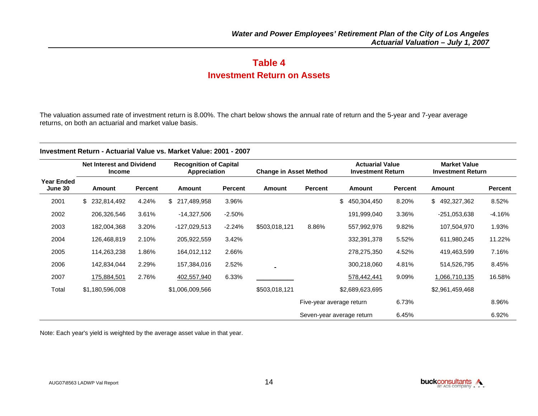## **Table 4 Investment Return on Assets**

The valuation assumed rate of investment return is 8.00%. The chart below shows the annual rate of return and the 5-year and 7-year average returns, on both an actuarial and market value basis.

#### **Investment Return - Actuarial Value vs. Market Value: 2001 - 2007**

|                              | <b>Net Interest and Dividend</b><br><b>Income</b> |         | <b>Recognition of Capital</b><br>Appreciation |          | <b>Change in Asset Method</b> |         | <b>Actuarial Value</b><br><b>Investment Return</b> |                | <b>Market Value</b><br><b>Investment Return</b> |          |
|------------------------------|---------------------------------------------------|---------|-----------------------------------------------|----------|-------------------------------|---------|----------------------------------------------------|----------------|-------------------------------------------------|----------|
| <b>Year Ended</b><br>June 30 | Amount                                            | Percent | Amount                                        | Percent  | Amount                        | Percent | <b>Amount</b>                                      | <b>Percent</b> | <b>Amount</b>                                   | Percent  |
| 2001                         | \$ 232,814,492                                    | 4.24%   | \$ 217,489,958                                | 3.96%    |                               |         | \$<br>450,304,450                                  | 8.20%          | \$492,327,362                                   | 8.52%    |
| 2002                         | 206,326,546                                       | 3.61%   | $-14,327,506$                                 | $-2.50%$ |                               |         | 191,999,040                                        | 3.36%          | $-251,053,638$                                  | $-4.16%$ |
| 2003                         | 182,004,368                                       | 3.20%   | $-127,029,513$                                | $-2.24%$ | \$503,018,121                 | 8.86%   | 557,992,976                                        | 9.82%          | 107,504,970                                     | 1.93%    |
| 2004                         | 126,468,819                                       | 2.10%   | 205,922,559                                   | 3.42%    |                               |         | 332,391,378                                        | 5.52%          | 611,980,245                                     | 11.22%   |
| 2005                         | 114,263,238                                       | 1.86%   | 164,012,112                                   | 2.66%    |                               |         | 278,275,350                                        | 4.52%          | 419,463,599                                     | 7.16%    |
| 2006                         | 142,834,044                                       | 2.29%   | 157,384,016                                   | 2.52%    |                               |         | 300,218,060                                        | 4.81%          | 514,526,795                                     | 8.45%    |
| 2007                         | 175,884,501                                       | 2.76%   | 402,557,940                                   | 6.33%    |                               |         | 578,442,441                                        | 9.09%          | 1,066,710,135                                   | 16.58%   |
| Total                        | \$1,180,596,008                                   |         | \$1,006,009,566                               |          | \$503,018,121                 |         | \$2,689,623,695                                    |                | \$2,961,459,468                                 |          |
|                              |                                                   |         |                                               |          |                               |         | Five-year average return                           | 6.73%          |                                                 | 8.96%    |

Note: Each year's yield is weighted by the average asset value in that year.

Seven-year average return 6.45% 6.92%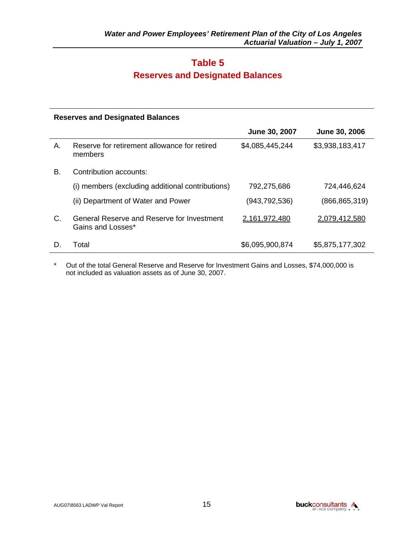## **Table 5 Reserves and Designated Balances**

#### **Reserves and Designated Balances**

|             |                                                                 | June 30, 2007   | June 30, 2006   |
|-------------|-----------------------------------------------------------------|-----------------|-----------------|
| Α.          | Reserve for retirement allowance for retired<br>members         | \$4,085,445,244 | \$3,938,183,417 |
| В.          | Contribution accounts:                                          |                 |                 |
|             | (i) members (excluding additional contributions)                | 792,275,686     | 724,446,624     |
|             | (ii) Department of Water and Power                              | (943, 792, 536) | (866,865,319)   |
| $C_{\cdot}$ | General Reserve and Reserve for Investment<br>Gains and Losses* | 2,161,972,480   | 2,079,412,580   |
| D.          | Total                                                           | \$6,095,900,874 | \$5,875,177,302 |

\* Out of the total General Reserve and Reserve for Investment Gains and Losses, \$74,000,000 is not included as valuation assets as of June 30, 2007.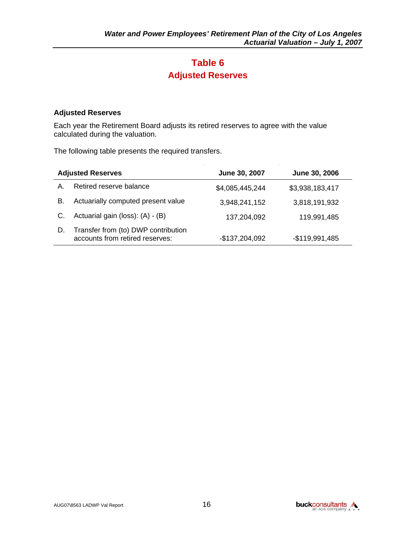## **Table 6 Adjusted Reserves**

#### **Adjusted Reserves**

Each year the Retirement Board adjusts its retired reserves to agree with the value calculated during the valuation.

The following table presents the required transfers.

|    | <b>Adjusted Reserves</b>                                               | June 30, 2007   | June 30, 2006   |
|----|------------------------------------------------------------------------|-----------------|-----------------|
| Α. | Retired reserve balance                                                | \$4,085,445,244 | \$3,938,183,417 |
| В. | Actuarially computed present value                                     | 3,948,241,152   | 3,818,191,932   |
|    | Actuarial gain (loss): (A) - (B)                                       | 137,204,092     | 119,991,485     |
| D. | Transfer from (to) DWP contribution<br>accounts from retired reserves: | -\$137,204,092  | $-$119,991,485$ |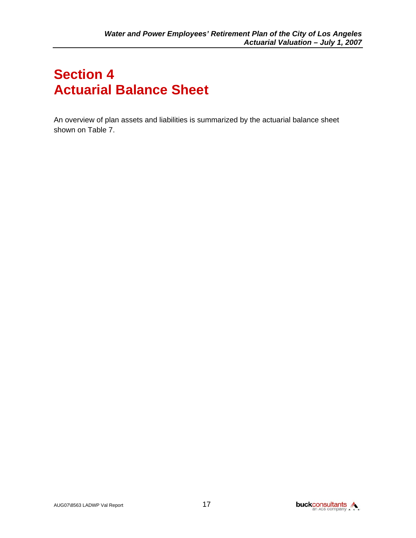# **Section 4 Actuarial Balance Sheet**

An overview of plan assets and liabilities is summarized by the actuarial balance sheet shown on Table 7.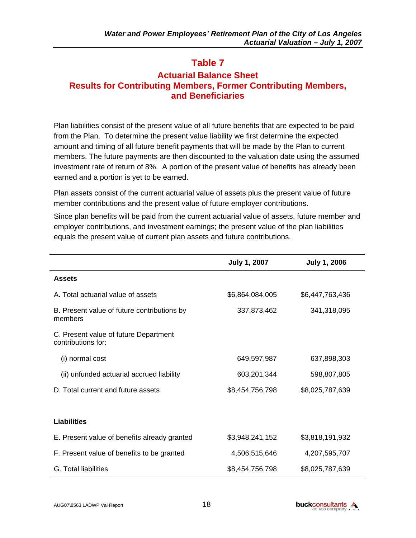### **Actuarial Balance Sheet Results for Contributing Members, Former Contributing Members, and Beneficiaries**

Plan liabilities consist of the present value of all future benefits that are expected to be paid from the Plan. To determine the present value liability we first determine the expected amount and timing of all future benefit payments that will be made by the Plan to current members. The future payments are then discounted to the valuation date using the assumed investment rate of return of 8%. A portion of the present value of benefits has already been earned and a portion is yet to be earned.

Plan assets consist of the current actuarial value of assets plus the present value of future member contributions and the present value of future employer contributions.

Since plan benefits will be paid from the current actuarial value of assets, future member and employer contributions, and investment earnings; the present value of the plan liabilities equals the present value of current plan assets and future contributions.

|                                                             | <b>July 1, 2007</b> | <b>July 1, 2006</b> |  |
|-------------------------------------------------------------|---------------------|---------------------|--|
| <b>Assets</b>                                               |                     |                     |  |
| A. Total actuarial value of assets                          | \$6,864,084,005     | \$6,447,763,436     |  |
| B. Present value of future contributions by<br>members      | 337,873,462         | 341,318,095         |  |
| C. Present value of future Department<br>contributions for: |                     |                     |  |
| (i) normal cost                                             | 649,597,987         | 637,898,303         |  |
| (ii) unfunded actuarial accrued liability                   | 603,201,344         | 598,807,805         |  |
| D. Total current and future assets                          | \$8,454,756,798     | \$8,025,787,639     |  |
|                                                             |                     |                     |  |
| Liabilities                                                 |                     |                     |  |
| E. Present value of benefits already granted                | \$3,948,241,152     | \$3,818,191,932     |  |
| F. Present value of benefits to be granted                  | 4,506,515,646       | 4,207,595,707       |  |
| G. Total liabilities                                        | \$8,454,756,798     | \$8,025,787,639     |  |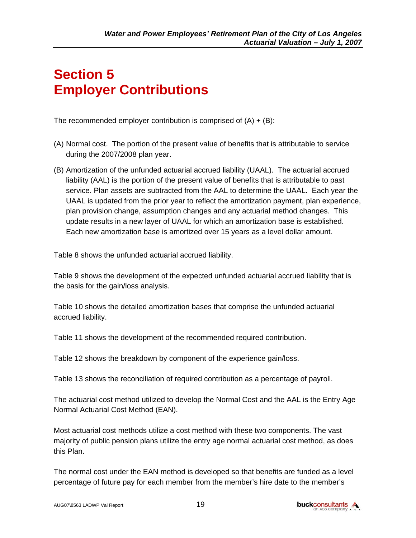# **Section 5 Employer Contributions**

The recommended employer contribution is comprised of  $(A) + (B)$ :

- (A) Normal cost. The portion of the present value of benefits that is attributable to service during the 2007/2008 plan year.
- (B) Amortization of the unfunded actuarial accrued liability (UAAL). The actuarial accrued liability (AAL) is the portion of the present value of benefits that is attributable to past service. Plan assets are subtracted from the AAL to determine the UAAL. Each year the UAAL is updated from the prior year to reflect the amortization payment, plan experience, plan provision change, assumption changes and any actuarial method changes. This update results in a new layer of UAAL for which an amortization base is established. Each new amortization base is amortized over 15 years as a level dollar amount.

Table 8 shows the unfunded actuarial accrued liability.

Table 9 shows the development of the expected unfunded actuarial accrued liability that is the basis for the gain/loss analysis.

Table 10 shows the detailed amortization bases that comprise the unfunded actuarial accrued liability.

Table 11 shows the development of the recommended required contribution.

Table 12 shows the breakdown by component of the experience gain/loss.

Table 13 shows the reconciliation of required contribution as a percentage of payroll.

The actuarial cost method utilized to develop the Normal Cost and the AAL is the Entry Age Normal Actuarial Cost Method (EAN).

Most actuarial cost methods utilize a cost method with these two components. The vast majority of public pension plans utilize the entry age normal actuarial cost method, as does this Plan.

The normal cost under the EAN method is developed so that benefits are funded as a level percentage of future pay for each member from the member's hire date to the member's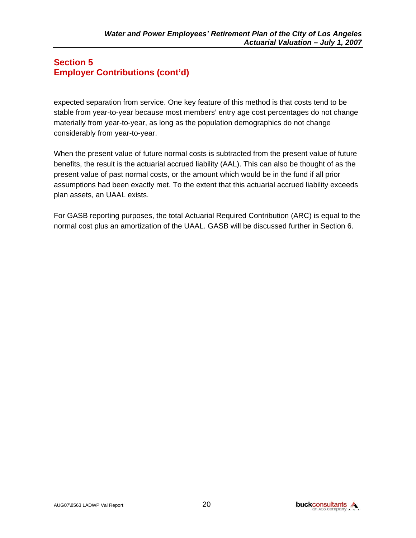### **Section 5 Employer Contributions (cont'd)**

expected separation from service. One key feature of this method is that costs tend to be stable from year-to-year because most members' entry age cost percentages do not change materially from year-to-year, as long as the population demographics do not change considerably from year-to-year.

When the present value of future normal costs is subtracted from the present value of future benefits, the result is the actuarial accrued liability (AAL). This can also be thought of as the present value of past normal costs, or the amount which would be in the fund if all prior assumptions had been exactly met. To the extent that this actuarial accrued liability exceeds plan assets, an UAAL exists.

For GASB reporting purposes, the total Actuarial Required Contribution (ARC) is equal to the normal cost plus an amortization of the UAAL. GASB will be discussed further in Section 6.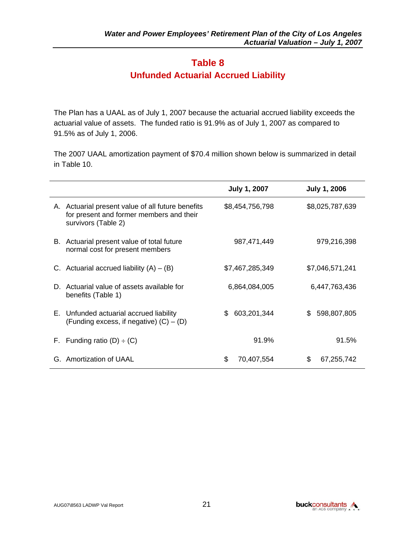## **Table 8 Unfunded Actuarial Accrued Liability**

The Plan has a UAAL as of July 1, 2007 because the actuarial accrued liability exceeds the actuarial value of assets. The funded ratio is 91.9% as of July 1, 2007 as compared to 91.5% as of July 1, 2006.

The 2007 UAAL amortization payment of \$70.4 million shown below is summarized in detail in Table 10.

|                                                                                                                      | <b>July 1, 2007</b> | <b>July 1, 2006</b> |
|----------------------------------------------------------------------------------------------------------------------|---------------------|---------------------|
| A. Actuarial present value of all future benefits<br>for present and former members and their<br>survivors (Table 2) | \$8,454,756,798     | \$8,025,787,639     |
| Actuarial present value of total future<br>В.<br>normal cost for present members                                     | 987,471,449         | 979,216,398         |
| C. Actuarial accrued liability $(A) - (B)$                                                                           | \$7,467,285,349     | \$7,046,571,241     |
| Actuarial value of assets available for<br>D.<br>benefits (Table 1)                                                  | 6,864,084,005       | 6,447,763,436       |
| E. Unfunded actuarial accrued liability<br>(Funding excess, if negative) $(C) - (D)$                                 | 603,201,344<br>\$   | 598,807,805<br>\$.  |
| F. Funding ratio $(D) \div (C)$                                                                                      | 91.9%               | 91.5%               |
| G. Amortization of UAAL                                                                                              | \$<br>70,407,554    | 67,255,742          |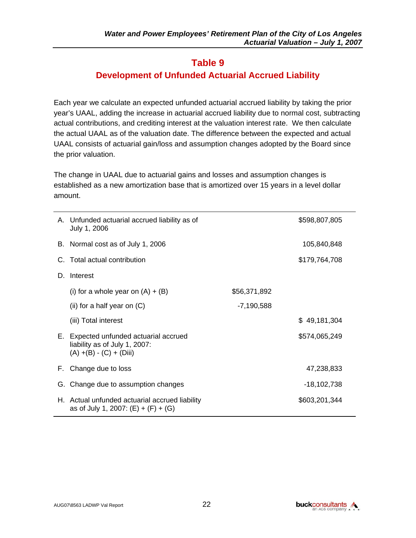## **Development of Unfunded Actuarial Accrued Liability**

Each year we calculate an expected unfunded actuarial accrued liability by taking the prior year's UAAL, adding the increase in actuarial accrued liability due to normal cost, subtracting actual contributions, and crediting interest at the valuation interest rate. We then calculate the actual UAAL as of the valuation date. The difference between the expected and actual UAAL consists of actuarial gain/loss and assumption changes adopted by the Board since the prior valuation.

The change in UAAL due to actuarial gains and losses and assumption changes is established as a new amortization base that is amortized over 15 years in a level dollar amount.

|    | A. Unfunded actuarial accrued liability as of<br>July 1, 2006                                         |              | \$598,807,805 |
|----|-------------------------------------------------------------------------------------------------------|--------------|---------------|
|    | B. Normal cost as of July 1, 2006                                                                     |              | 105,840,848   |
|    | C. Total actual contribution                                                                          |              | \$179,764,708 |
| D. | Interest                                                                                              |              |               |
|    | (i) for a whole year on $(A) + (B)$                                                                   | \$56,371,892 |               |
|    | (ii) for a half year on $(C)$                                                                         | $-7,190,588$ |               |
|    | (iii) Total interest                                                                                  |              | \$49,181,304  |
|    | E. Expected unfunded actuarial accrued<br>liability as of July 1, 2007:<br>$(A) + (B) - (C) + (Diii)$ |              | \$574,065,249 |
|    | F. Change due to loss                                                                                 |              | 47,238,833    |
|    | G. Change due to assumption changes                                                                   |              | -18,102,738   |
|    | H. Actual unfunded actuarial accrued liability<br>as of July 1, 2007: $(E) + (F) + (G)$               |              | \$603,201,344 |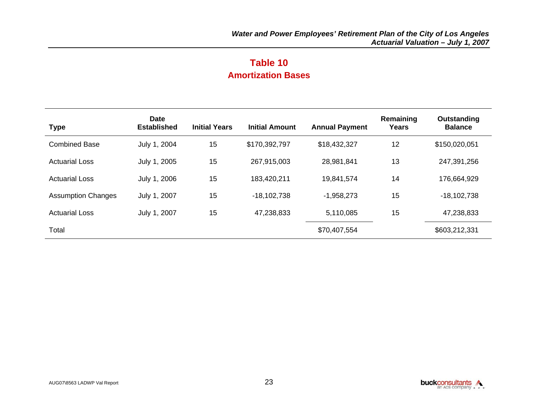## **Table 10 Amortization Bases**

| <b>Type</b>               | <b>Date</b><br><b>Established</b> | <b>Initial Years</b> | <b>Initial Amount</b> | <b>Annual Payment</b> | Remaining<br>Years | Outstanding<br><b>Balance</b> |
|---------------------------|-----------------------------------|----------------------|-----------------------|-----------------------|--------------------|-------------------------------|
| <b>Combined Base</b>      | July 1, 2004                      | 15                   | \$170,392,797         | \$18,432,327          | 12                 | \$150,020,051                 |
| <b>Actuarial Loss</b>     | July 1, 2005                      | 15                   | 267,915,003           | 28,981,841            | 13                 | 247,391,256                   |
| <b>Actuarial Loss</b>     | July 1, 2006                      | 15                   | 183,420,211           | 19,841,574            | 14                 | 176,664,929                   |
| <b>Assumption Changes</b> | July 1, 2007                      | 15                   | $-18,102,738$         | $-1,958,273$          | 15                 | $-18,102,738$                 |
| <b>Actuarial Loss</b>     | July 1, 2007                      | 15                   | 47,238,833            | 5,110,085             | 15                 | 47,238,833                    |
| Total                     |                                   |                      |                       | \$70,407,554          |                    | \$603,212,331                 |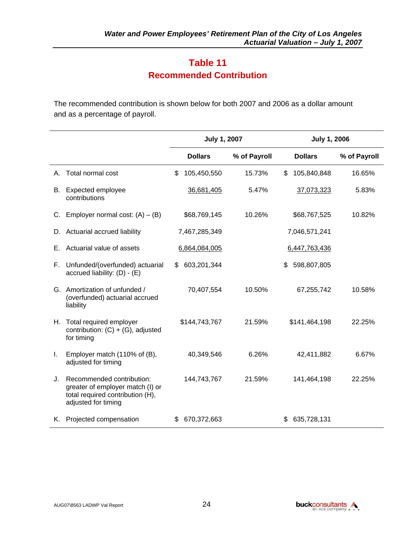## **Table 11 Recommended Contribution**

The recommended contribution is shown below for both 2007 and 2006 as a dollar amount and as a percentage of payroll.

|    |                                                                                                                          | <b>July 1, 2007</b> |               | <b>July 1, 2006</b> |              |  |
|----|--------------------------------------------------------------------------------------------------------------------------|---------------------|---------------|---------------------|--------------|--|
|    |                                                                                                                          | <b>Dollars</b>      | % of Payroll  | <b>Dollars</b>      | % of Payroll |  |
| А. | Total normal cost                                                                                                        | \$<br>105,450,550   | 15.73%        | 105,840,848<br>\$   | 16.65%       |  |
| В. | Expected employee<br>contributions                                                                                       | 36,681,405          | 5.47%         | 37,073,323          | 5.83%        |  |
| C. | Employer normal cost: $(A) - (B)$                                                                                        | \$68,769,145        | 10.26%        | \$68,767,525        | 10.82%       |  |
| D. | Actuarial accrued liability                                                                                              | 7,467,285,349       |               | 7,046,571,241       |              |  |
| Е. | Actuarial value of assets                                                                                                | 6,864,084,005       | 6,447,763,436 |                     |              |  |
| F. | Unfunded/(overfunded) actuarial<br>accrued liability: $(D) - (E)$                                                        | 603,201,344<br>\$.  |               | 598,807,805<br>\$   |              |  |
|    | G. Amortization of unfunded /<br>(overfunded) actuarial accrued<br>liability                                             | 70,407,554          | 10.50%        | 67,255,742          | 10.58%       |  |
|    | H. Total required employer<br>contribution: $(C) + (G)$ , adjusted<br>for timing                                         | \$144,743,767       | 21.59%        | \$141,464,198       | 22.25%       |  |
| L. | Employer match (110% of (B),<br>adjusted for timing                                                                      | 40,349,546          | 6.26%         | 42,411,882          | 6.67%        |  |
| J. | Recommended contribution:<br>greater of employer match (I) or<br>total required contribution (H),<br>adjusted for timing | 144,743,767         | 21.59%        | 141,464,198         | 22.25%       |  |
|    | K. Projected compensation                                                                                                | 670,372,663<br>S    |               | 635,728,131         |              |  |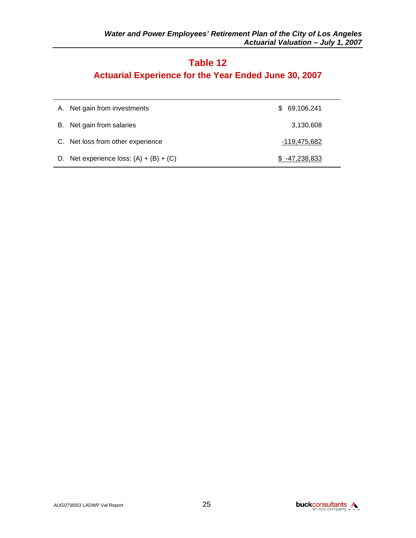## **Actuarial Experience for the Year Ended June 30, 2007**

| A. Net gain from investments              | 69,106,241<br>\$. |
|-------------------------------------------|-------------------|
| B. Net gain from salaries                 | 3,130,608         |
| C. Net loss from other experience         | -119,475,682      |
| D. Net experience loss: $(A) + (B) + (C)$ | $$-47.238.833$    |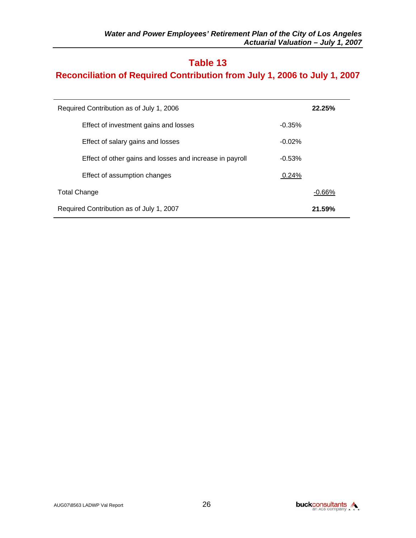## **Reconciliation of Required Contribution from July 1, 2006 to July 1, 2007**

| Required Contribution as of July 1, 2006                 |          |  |  |  |
|----------------------------------------------------------|----------|--|--|--|
| Effect of investment gains and losses                    | $-0.35%$ |  |  |  |
| Effect of salary gains and losses                        | $-0.02%$ |  |  |  |
| Effect of other gains and losses and increase in payroll | $-0.53%$ |  |  |  |
| Effect of assumption changes                             | 0.24%    |  |  |  |
| <b>Total Change</b>                                      |          |  |  |  |
| Required Contribution as of July 1, 2007                 |          |  |  |  |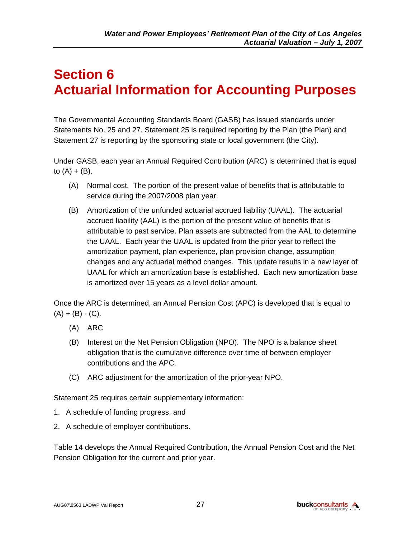# **Section 6 Actuarial Information for Accounting Purposes**

The Governmental Accounting Standards Board (GASB) has issued standards under Statements No. 25 and 27. Statement 25 is required reporting by the Plan (the Plan) and Statement 27 is reporting by the sponsoring state or local government (the City).

Under GASB, each year an Annual Required Contribution (ARC) is determined that is equal to  $(A) + (B)$ .

- (A) Normal cost. The portion of the present value of benefits that is attributable to service during the 2007/2008 plan year.
- (B) Amortization of the unfunded actuarial accrued liability (UAAL). The actuarial accrued liability (AAL) is the portion of the present value of benefits that is attributable to past service. Plan assets are subtracted from the AAL to determine the UAAL. Each year the UAAL is updated from the prior year to reflect the amortization payment, plan experience, plan provision change, assumption changes and any actuarial method changes. This update results in a new layer of UAAL for which an amortization base is established. Each new amortization base is amortized over 15 years as a level dollar amount.

Once the ARC is determined, an Annual Pension Cost (APC) is developed that is equal to  $(A) + (B) - (C)$ .

- (A) ARC
- (B) Interest on the Net Pension Obligation (NPO). The NPO is a balance sheet obligation that is the cumulative difference over time of between employer contributions and the APC.
- (C) ARC adjustment for the amortization of the prior-year NPO.

Statement 25 requires certain supplementary information:

- 1. A schedule of funding progress, and
- 2. A schedule of employer contributions.

Table 14 develops the Annual Required Contribution, the Annual Pension Cost and the Net Pension Obligation for the current and prior year.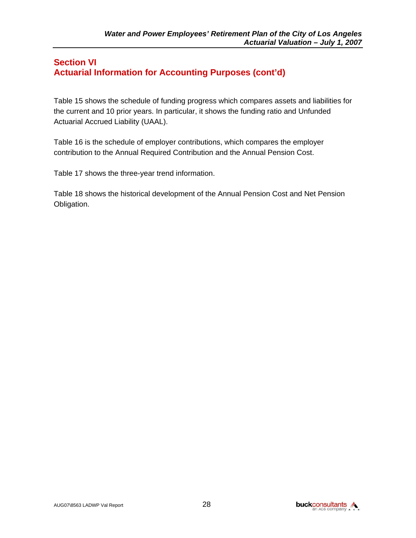#### **Section VI Actuarial Information for Accounting Purposes (cont'd)**

Table 15 shows the schedule of funding progress which compares assets and liabilities for the current and 10 prior years. In particular, it shows the funding ratio and Unfunded Actuarial Accrued Liability (UAAL).

Table 16 is the schedule of employer contributions, which compares the employer contribution to the Annual Required Contribution and the Annual Pension Cost.

Table 17 shows the three-year trend information.

Table 18 shows the historical development of the Annual Pension Cost and Net Pension Obligation.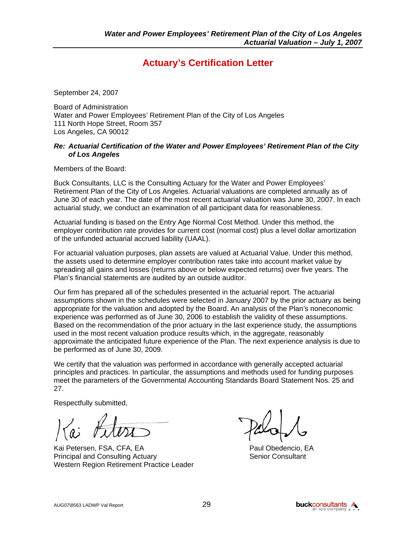## **Actuary's Certification Letter**

September 24, 2007

Board of Administration Water and Power Employees' Retirement Plan of the City of Los Angeles 111 North Hope Street, Room 357 Los Angeles, CA 90012

#### *Re: Actuarial Certification of the Water and Power Employees' Retirement Plan of the City of Los Angeles*

Members of the Board:

Buck Consultants, LLC is the Consulting Actuary for the Water and Power Employees' Retirement Plan of the City of Los Angeles. Actuarial valuations are completed annually as of June 30 of each year. The date of the most recent actuarial valuation was June 30, 2007. In each actuarial study, we conduct an examination of all participant data for reasonableness.

Actuarial funding is based on the Entry Age Normal Cost Method. Under this method, the employer contribution rate provides for current cost (normal cost) plus a level dollar amortization of the unfunded actuarial accrued liability (UAAL).

For actuarial valuation purposes, plan assets are valued at Actuarial Value. Under this method, the assets used to determine employer contribution rates take into account market value by spreading all gains and losses (returns above or below expected returns) over five years. The Plan's financial statements are audited by an outside auditor.

Our firm has prepared all of the schedules presented in the actuarial report. The actuarial assumptions shown in the schedules were selected in January 2007 by the prior actuary as being appropriate for the valuation and adopted by the Board. An analysis of the Plan's noneconomic experience was performed as of June 30, 2006 to establish the validity of these assumptions. Based on the recommendation of the prior actuary in the last experience study, the assumptions used in the most recent valuation produce results which, in the aggregate, reasonably approximate the anticipated future experience of the Plan. The next experience analysis is due to be performed as of June 30, 2009.

We certify that the valuation was performed in accordance with generally accepted actuarial principles and practices. In particular, the assumptions and methods used for funding purposes meet the parameters of the Governmental Accounting Standards Board Statement Nos. 25 and 27.

Respectfully submitted,

Kai Petersen, FSA, CFA, EA Paul Obedencio, EA Principal and Consulting Actuary **Senior Consultant** Senior Consultant Western Region Retirement Practice Leader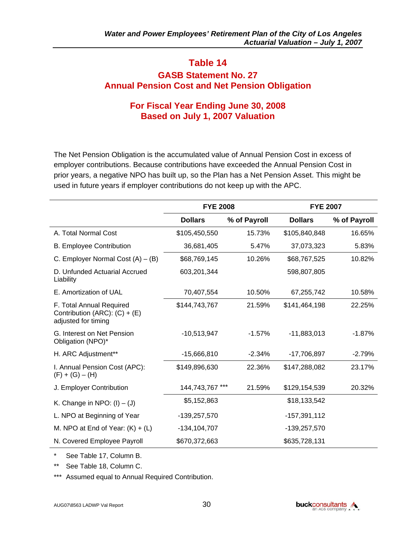### **GASB Statement No. 27 Annual Pension Cost and Net Pension Obligation**

#### **For Fiscal Year Ending June 30, 2008 Based on July 1, 2007 Valuation**

The Net Pension Obligation is the accumulated value of Annual Pension Cost in excess of employer contributions. Because contributions have exceeded the Annual Pension Cost in prior years, a negative NPO has built up, so the Plan has a Net Pension Asset. This might be used in future years if employer contributions do not keep up with the APC.

|                                                                                    | <b>FYE 2008</b>  |              | <b>FYE 2007</b> |              |  |
|------------------------------------------------------------------------------------|------------------|--------------|-----------------|--------------|--|
|                                                                                    | <b>Dollars</b>   | % of Payroll | <b>Dollars</b>  | % of Payroll |  |
| A. Total Normal Cost                                                               | \$105,450,550    | 15.73%       | \$105,840,848   | 16.65%       |  |
| <b>B. Employee Contribution</b>                                                    | 36,681,405       | 5.47%        | 37,073,323      | 5.83%        |  |
| C. Employer Normal Cost $(A) - (B)$                                                | \$68,769,145     | 10.26%       | \$68,767,525    | 10.82%       |  |
| D. Unfunded Actuarial Accrued<br>Liability                                         | 603,201,344      |              | 598,807,805     |              |  |
| E. Amortization of UAL                                                             | 70,407,554       | 10.50%       | 67,255,742      | 10.58%       |  |
| F. Total Annual Required<br>Contribution (ARC): $(C) + (E)$<br>adjusted for timing | \$144,743,767    | 21.59%       | \$141,464,198   | 22.25%       |  |
| G. Interest on Net Pension<br>Obligation (NPO)*                                    | $-10,513,947$    | $-1.57%$     | $-11,883,013$   | $-1.87%$     |  |
| H. ARC Adjustment**                                                                | $-15,666,810$    | $-2.34%$     | $-17,706,897$   | $-2.79%$     |  |
| I. Annual Pension Cost (APC):<br>$(F) + (G) - (H)$                                 | \$149,896,630    | 22.36%       | \$147,288,082   | 23.17%       |  |
| J. Employer Contribution                                                           | 144,743,767      | 21.59%       | \$129,154,539   | 20.32%       |  |
| K. Change in NPO: $(I) - (J)$                                                      | \$5,152,863      |              | \$18,133,542    |              |  |
| L. NPO at Beginning of Year                                                        | -139,257,570     |              | $-157,391,112$  |              |  |
| M. NPO at End of Year: $(K) + (L)$                                                 | $-134, 104, 707$ |              | -139,257,570    |              |  |
| N. Covered Employee Payroll                                                        | \$670,372,663    |              | \$635,728,131   |              |  |

\* See Table 17, Column B.

\*\* See Table 18, Column C.

\*\*\* Assumed equal to Annual Required Contribution.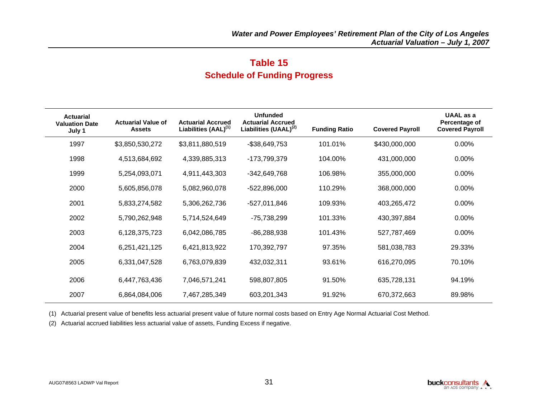## **Table 15 Schedule of Funding Progress**

| <b>Actuarial</b><br><b>Valuation Date</b><br>July 1 | <b>Actuarial Value of</b><br><b>Assets</b> | <b>Actuarial Accrued</b><br>Liabilities (AAL) <sup>(1)</sup> | <b>Unfunded</b><br><b>Actuarial Accrued</b><br>Liabilities (UAAL) <sup>(2)</sup> | <b>Funding Ratio</b> | <b>Covered Payroll</b> | UAAL as a<br>Percentage of<br><b>Covered Payroll</b> |
|-----------------------------------------------------|--------------------------------------------|--------------------------------------------------------------|----------------------------------------------------------------------------------|----------------------|------------------------|------------------------------------------------------|
| 1997                                                | \$3,850,530,272                            | \$3,811,880,519                                              | -\$38,649,753                                                                    | 101.01%              | \$430,000,000          | 0.00%                                                |
| 1998                                                | 4,513,684,692                              | 4,339,885,313                                                | -173,799,379                                                                     | 104.00%              | 431,000,000            | 0.00%                                                |
| 1999                                                | 5,254,093,071                              | 4,911,443,303                                                | -342,649,768                                                                     | 106.98%              | 355,000,000            | 0.00%                                                |
| 2000                                                | 5,605,856,078                              | 5,082,960,078                                                | $-522,896,000$                                                                   | 110.29%              | 368,000,000            | 0.00%                                                |
| 2001                                                | 5,833,274,582                              | 5,306,262,736                                                | $-527,011,846$                                                                   | 109.93%              | 403,265,472            | 0.00%                                                |
| 2002                                                | 5,790,262,948                              | 5,714,524,649                                                | -75,738,299                                                                      | 101.33%              | 430,397,884            | $0.00\%$                                             |
| 2003                                                | 6,128,375,723                              | 6,042,086,785                                                | $-86,288,938$                                                                    | 101.43%              | 527,787,469            | 0.00%                                                |
| 2004                                                | 6,251,421,125                              | 6,421,813,922                                                | 170,392,797                                                                      | 97.35%               | 581,038,783            | 29.33%                                               |
| 2005                                                | 6,331,047,528                              | 6,763,079,839                                                | 432,032,311                                                                      | 93.61%               | 616,270,095            | 70.10%                                               |
| 2006                                                | 6,447,763,436                              | 7,046,571,241                                                | 598,807,805                                                                      | 91.50%               | 635,728,131            | 94.19%                                               |
| 2007                                                | 6,864,084,006                              | 7,467,285,349                                                | 603,201,343                                                                      | 91.92%               | 670,372,663            | 89.98%                                               |

(1) Actuarial present value of benefits less actuarial present value of future normal costs based on Entry Age Normal Actuarial Cost Method.

(2) Actuarial accrued liabilities less actuarial value of assets, Funding Excess if negative.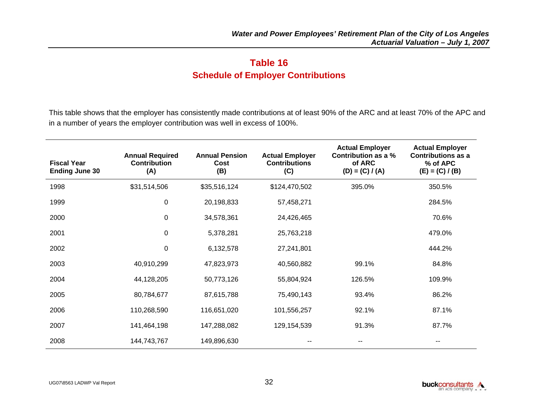## **Table 16 Schedule of Employer Contributions**

This table shows that the employer has consistently made contributions at of least 90% of the ARC and at least 70% of the APC and in a number of years the employer contribution was well in excess of 100%.

| <b>Fiscal Year</b><br><b>Ending June 30</b> | <b>Annual Required</b><br><b>Contribution</b><br>(A) | <b>Annual Pension</b><br>Cost<br>(B) | <b>Actual Employer</b><br><b>Contributions</b><br>(C) | <b>Actual Employer</b><br>Contribution as a %<br>of ARC<br>$(D) = (C) / (A)$ | <b>Actual Employer</b><br><b>Contributions as a</b><br>% of APC<br>$(E) = (C) / (B)$ |
|---------------------------------------------|------------------------------------------------------|--------------------------------------|-------------------------------------------------------|------------------------------------------------------------------------------|--------------------------------------------------------------------------------------|
| 1998                                        | \$31,514,506                                         | \$35,516,124                         | \$124,470,502                                         | 395.0%                                                                       | 350.5%                                                                               |
| 1999                                        | 0                                                    | 20,198,833                           | 57,458,271                                            |                                                                              | 284.5%                                                                               |
| 2000                                        | $\mathbf 0$                                          | 34,578,361                           | 24,426,465                                            |                                                                              | 70.6%                                                                                |
| 2001                                        | $\mathbf 0$                                          | 5,378,281                            | 25,763,218                                            |                                                                              | 479.0%                                                                               |
| 2002                                        | $\mathbf 0$                                          | 6,132,578                            | 27,241,801                                            |                                                                              | 444.2%                                                                               |
| 2003                                        | 40,910,299                                           | 47,823,973                           | 40,560,882                                            | 99.1%                                                                        | 84.8%                                                                                |
| 2004                                        | 44,128,205                                           | 50,773,126                           | 55,804,924                                            | 126.5%                                                                       | 109.9%                                                                               |
| 2005                                        | 80,784,677                                           | 87,615,788                           | 75,490,143                                            | 93.4%                                                                        | 86.2%                                                                                |
| 2006                                        | 110,268,590                                          | 116,651,020                          | 101,556,257                                           | 92.1%                                                                        | 87.1%                                                                                |
| 2007                                        | 141,464,198                                          | 147,288,082                          | 129,154,539                                           | 91.3%                                                                        | 87.7%                                                                                |
| 2008                                        | 144,743,767                                          | 149,896,630                          |                                                       |                                                                              |                                                                                      |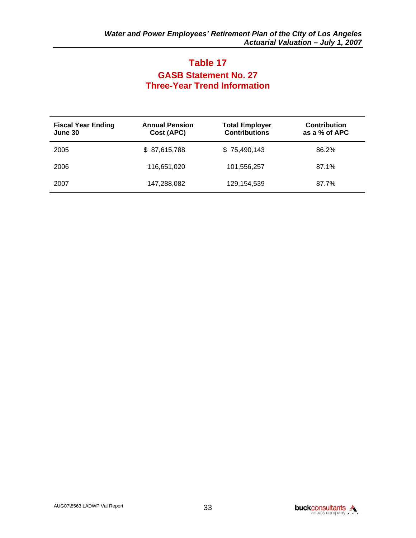## **Table 17 GASB Statement No. 27 Three-Year Trend Information**

| <b>Fiscal Year Ending</b><br>June 30 | <b>Annual Pension</b><br>Cost (APC) | <b>Total Employer</b><br><b>Contributions</b> | <b>Contribution</b><br>as a % of APC |
|--------------------------------------|-------------------------------------|-----------------------------------------------|--------------------------------------|
| 2005                                 | \$ 87,615,788                       | \$75,490,143                                  | 86.2%                                |
| 2006                                 | 116,651,020                         | 101,556,257                                   | 87.1%                                |
| 2007                                 | 147,288,082                         | 129,154,539                                   | 87.7%                                |

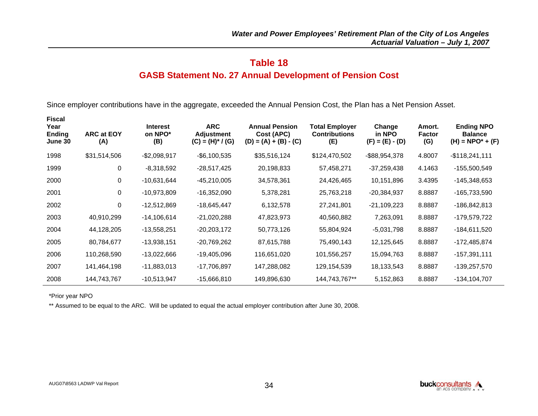#### **GASB Statement No. 27 Annual Development of Pension Cost**

Since employer contributions have in the aggregate, exceeded the Annual Pension Cost, the Plan has a Net Pension Asset.

| <b>Fiscal</b><br>Year<br><b>Ending</b><br>June 30 | <b>ARC at EOY</b><br>(A) | <b>Interest</b><br>on NPO*<br>(B) | <b>ARC</b><br>Adjustment<br>$(C) = (H)^* / (G)$ | <b>Annual Pension</b><br>Cost (APC)<br>$(D) = (A) + (B) - (C)$ | <b>Total Employer</b><br><b>Contributions</b><br>(E) | Change<br>in NPO<br>$(F) = (E) - (D)$ | Amort.<br><b>Factor</b><br>(G) | <b>Ending NPO</b><br><b>Balance</b><br>$(H) = \text{NPO}^{*} + (F)$ |
|---------------------------------------------------|--------------------------|-----------------------------------|-------------------------------------------------|----------------------------------------------------------------|------------------------------------------------------|---------------------------------------|--------------------------------|---------------------------------------------------------------------|
| 1998                                              | \$31,514,506             | $-$2,098,917$                     | $-$ \$6,100,535                                 | \$35,516,124                                                   | \$124,470,502                                        | -\$88,954,378                         | 4.8007                         | $-$118,241,111$                                                     |
| 1999                                              | 0                        | $-8,318,592$                      | $-28,517,425$                                   | 20,198,833                                                     | 57,458,271                                           | $-37,259,438$                         | 4.1463                         | -155,500,549                                                        |
| 2000                                              | 0                        | $-10,631,644$                     | $-45,210,005$                                   | 34,578,361                                                     | 24,426,465                                           | 10,151,896                            | 3.4395                         | -145,348,653                                                        |
| 2001                                              | 0                        | -10,973,809                       | -16,352,090                                     | 5,378,281                                                      | 25,763,218                                           | $-20,384,937$                         | 8.8887                         | -165,733,590                                                        |
| 2002                                              | 0                        | $-12,512,869$                     | -18,645,447                                     | 6,132,578                                                      | 27,241,801                                           | $-21,109,223$                         | 8.8887                         | -186,842,813                                                        |
| 2003                                              | 40,910,299               | $-14,106,614$                     | $-21,020,288$                                   | 47,823,973                                                     | 40,560,882                                           | 7,263,091                             | 8.8887                         | -179,579,722                                                        |
| 2004                                              | 44,128,205               | $-13,558,251$                     | $-20,203,172$                                   | 50,773,126                                                     | 55,804,924                                           | $-5,031,798$                          | 8.8887                         | -184,611,520                                                        |
| 2005                                              | 80,784,677               | $-13,938,151$                     | $-20,769,262$                                   | 87,615,788                                                     | 75,490,143                                           | 12,125,645                            | 8.8887                         | -172,485,874                                                        |
| 2006                                              | 110,268,590              | $-13,022,666$                     | $-19,405,096$                                   | 116,651,020                                                    | 101,556,257                                          | 15,094,763                            | 8.8887                         | $-157,391,111$                                                      |
| 2007                                              | 141,464,198              | $-11,883,013$                     | -17,706,897                                     | 147,288,082                                                    | 129,154,539                                          | 18,133,543                            | 8.8887                         | -139,257,570                                                        |
| 2008                                              | 144,743,767              | $-10,513,947$                     | $-15,666,810$                                   | 149,896,630                                                    | 144,743,767**                                        | 5,152,863                             | 8.8887                         | -134,104,707                                                        |

\*Prior year NPO

\*\* Assumed to be equal to the ARC. Will be updated to equal the actual employer contribution after June 30, 2008.

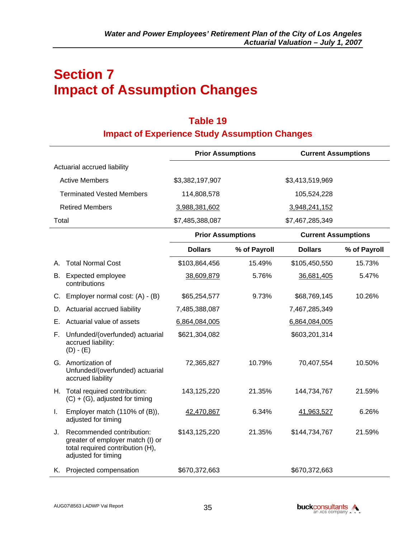## **Section 7 Impact of Assumption Changes**

## **Table 19 Impact of Experience Study Assumption Changes**

|                                                                                                                                | <b>Prior Assumptions</b> |              | <b>Current Assumptions</b> |              |
|--------------------------------------------------------------------------------------------------------------------------------|--------------------------|--------------|----------------------------|--------------|
| Actuarial accrued liability                                                                                                    |                          |              |                            |              |
| <b>Active Members</b>                                                                                                          | \$3,382,197,907          |              | \$3,413,519,969            |              |
| <b>Terminated Vested Members</b>                                                                                               | 114,808,578              |              | 105,524,228                |              |
| <b>Retired Members</b>                                                                                                         | 3,988,381,602            |              | 3,948,241,152              |              |
| Total                                                                                                                          | \$7,485,388,087          |              | \$7,467,285,349            |              |
|                                                                                                                                | <b>Prior Assumptions</b> |              | <b>Current Assumptions</b> |              |
|                                                                                                                                | <b>Dollars</b>           | % of Payroll | <b>Dollars</b>             | % of Payroll |
| <b>Total Normal Cost</b><br>А.                                                                                                 | \$103,864,456            | 15.49%       | \$105,450,550              | 15.73%       |
| Expected employee<br>В.<br>contributions                                                                                       | 38,609,879               | 5.76%        | 36,681,405                 | 5.47%        |
| Employer normal cost: (A) - (B)<br>C.                                                                                          | \$65,254,577             | 9.73%        | \$68,769,145               | 10.26%       |
| Actuarial accrued liability<br>D.                                                                                              | 7,485,388,087            |              | 7,467,285,349              |              |
| Actuarial value of assets<br>Е.                                                                                                | 6,864,084,005            |              | 6,864,084,005              |              |
| Unfunded/(overfunded) actuarial<br>F.<br>accrued liability:<br>$(D) - (E)$                                                     | \$621,304,082            |              | \$603,201,314              |              |
| G. Amortization of<br>Unfunded/(overfunded) actuarial<br>accrued liability                                                     | 72,365,827               | 10.79%       | 70,407,554                 | 10.50%       |
| H. Total required contribution:<br>$(C) + (G)$ , adjusted for timing                                                           | 143, 125, 220            | 21.35%       | 144,734,767                | 21.59%       |
| Employer match (110% of (B)),<br>I.<br>adjusted for timing                                                                     | 42,470,867               | 6.34%        | 41,963,527                 | 6.26%        |
| Recommended contribution:<br>J.<br>greater of employer match (I) or<br>total required contribution (H),<br>adjusted for timing | \$143,125,220            | 21.35%       | \$144,734,767              | 21.59%       |
| K. Projected compensation                                                                                                      | \$670,372,663            |              | \$670,372,663              |              |

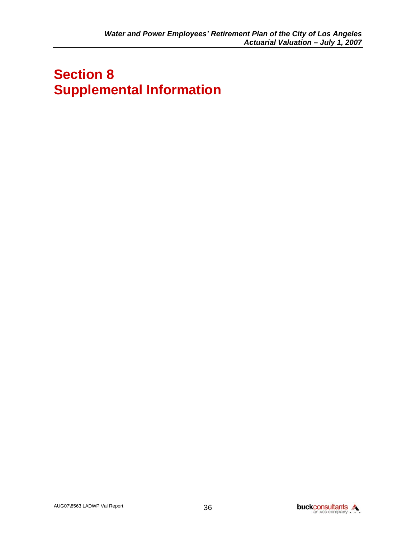# **Section 8 Supplemental Information**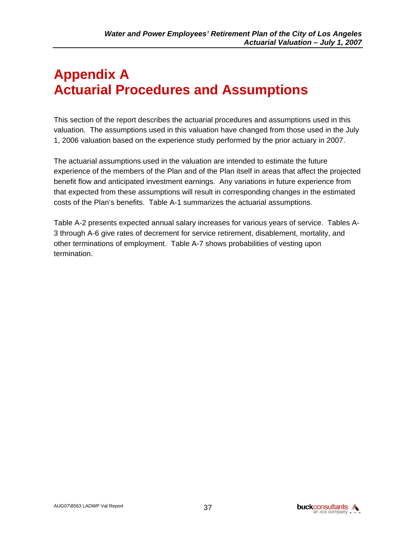# **Appendix A Actuarial Procedures and Assumptions**

This section of the report describes the actuarial procedures and assumptions used in this valuation. The assumptions used in this valuation have changed from those used in the July 1, 2006 valuation based on the experience study performed by the prior actuary in 2007.

The actuarial assumptions used in the valuation are intended to estimate the future experience of the members of the Plan and of the Plan itself in areas that affect the projected benefit flow and anticipated investment earnings. Any variations in future experience from that expected from these assumptions will result in corresponding changes in the estimated costs of the Plan's benefits. Table A-1 summarizes the actuarial assumptions.

Table A-2 presents expected annual salary increases for various years of service. Tables A-3 through A-6 give rates of decrement for service retirement, disablement, mortality, and other terminations of employment. Table A-7 shows probabilities of vesting upon termination.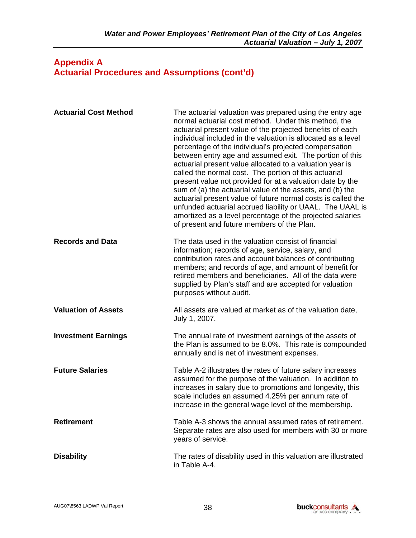#### **Appendix A Actuarial Procedures and Assumptions (cont'd)**

| <b>Actuarial Cost Method</b> | The actuarial valuation was prepared using the entry age<br>normal actuarial cost method. Under this method, the<br>actuarial present value of the projected benefits of each<br>individual included in the valuation is allocated as a level<br>percentage of the individual's projected compensation<br>between entry age and assumed exit. The portion of this<br>actuarial present value allocated to a valuation year is<br>called the normal cost. The portion of this actuarial<br>present value not provided for at a valuation date by the<br>sum of (a) the actuarial value of the assets, and (b) the<br>actuarial present value of future normal costs is called the<br>unfunded actuarial accrued liability or UAAL. The UAAL is<br>amortized as a level percentage of the projected salaries<br>of present and future members of the Plan. |
|------------------------------|----------------------------------------------------------------------------------------------------------------------------------------------------------------------------------------------------------------------------------------------------------------------------------------------------------------------------------------------------------------------------------------------------------------------------------------------------------------------------------------------------------------------------------------------------------------------------------------------------------------------------------------------------------------------------------------------------------------------------------------------------------------------------------------------------------------------------------------------------------|
| <b>Records and Data</b>      | The data used in the valuation consist of financial<br>information; records of age, service, salary, and<br>contribution rates and account balances of contributing<br>members; and records of age, and amount of benefit for<br>retired members and beneficiaries. All of the data were<br>supplied by Plan's staff and are accepted for valuation<br>purposes without audit.                                                                                                                                                                                                                                                                                                                                                                                                                                                                           |
| <b>Valuation of Assets</b>   | All assets are valued at market as of the valuation date,<br>July 1, 2007.                                                                                                                                                                                                                                                                                                                                                                                                                                                                                                                                                                                                                                                                                                                                                                               |
| <b>Investment Earnings</b>   | The annual rate of investment earnings of the assets of<br>the Plan is assumed to be 8.0%. This rate is compounded<br>annually and is net of investment expenses.                                                                                                                                                                                                                                                                                                                                                                                                                                                                                                                                                                                                                                                                                        |
| <b>Future Salaries</b>       | Table A-2 illustrates the rates of future salary increases<br>assumed for the purpose of the valuation. In addition to<br>increases in salary due to promotions and longevity, this<br>scale includes an assumed 4.25% per annum rate of<br>increase in the general wage level of the membership.                                                                                                                                                                                                                                                                                                                                                                                                                                                                                                                                                        |
| <b>Retirement</b>            | Table A-3 shows the annual assumed rates of retirement.<br>Separate rates are also used for members with 30 or more<br>years of service.                                                                                                                                                                                                                                                                                                                                                                                                                                                                                                                                                                                                                                                                                                                 |
| <b>Disability</b>            | The rates of disability used in this valuation are illustrated<br>in Table A-4.                                                                                                                                                                                                                                                                                                                                                                                                                                                                                                                                                                                                                                                                                                                                                                          |

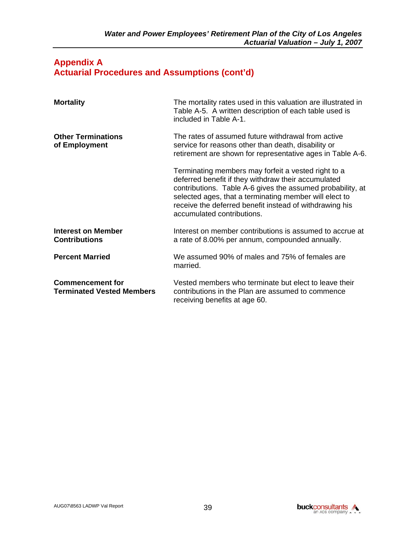#### **Appendix A Actuarial Procedures and Assumptions (cont'd)**

| <b>Mortality</b>                                            | The mortality rates used in this valuation are illustrated in<br>Table A-5. A written description of each table used is<br>included in Table A-1.                                                                                                                                                                           |
|-------------------------------------------------------------|-----------------------------------------------------------------------------------------------------------------------------------------------------------------------------------------------------------------------------------------------------------------------------------------------------------------------------|
| <b>Other Terminations</b><br>of Employment                  | The rates of assumed future withdrawal from active<br>service for reasons other than death, disability or<br>retirement are shown for representative ages in Table A-6.                                                                                                                                                     |
|                                                             | Terminating members may forfeit a vested right to a<br>deferred benefit if they withdraw their accumulated<br>contributions. Table A-6 gives the assumed probability, at<br>selected ages, that a terminating member will elect to<br>receive the deferred benefit instead of withdrawing his<br>accumulated contributions. |
| Interest on Member<br><b>Contributions</b>                  | Interest on member contributions is assumed to accrue at<br>a rate of 8.00% per annum, compounded annually.                                                                                                                                                                                                                 |
| <b>Percent Married</b>                                      | We assumed 90% of males and 75% of females are<br>married.                                                                                                                                                                                                                                                                  |
| <b>Commencement for</b><br><b>Terminated Vested Members</b> | Vested members who terminate but elect to leave their<br>contributions in the Plan are assumed to commence<br>receiving benefits at age 60.                                                                                                                                                                                 |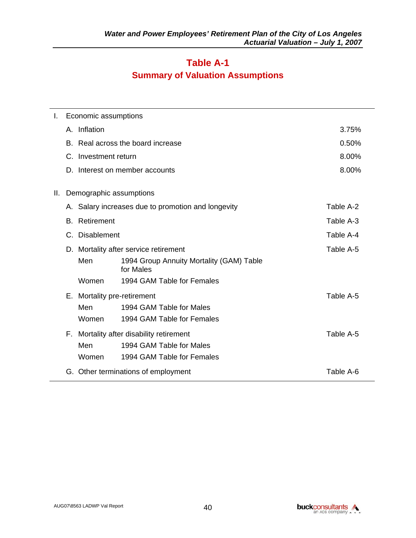## **Table A-1 Summary of Valuation Assumptions**

| L. |    | Economic assumptions                                         |                                                    |           |  |  |  |
|----|----|--------------------------------------------------------------|----------------------------------------------------|-----------|--|--|--|
|    |    | A. Inflation                                                 |                                                    | 3.75%     |  |  |  |
|    |    |                                                              | B. Real across the board increase                  | 0.50%     |  |  |  |
|    |    | C. Investment return                                         |                                                    | 8.00%     |  |  |  |
|    | D. |                                                              | Interest on member accounts                        | 8.00%     |  |  |  |
| Ш. |    | Demographic assumptions                                      |                                                    |           |  |  |  |
|    |    |                                                              | A. Salary increases due to promotion and longevity | Table A-2 |  |  |  |
|    |    | <b>B.</b> Retirement                                         |                                                    | Table A-3 |  |  |  |
|    |    | C. Disablement                                               |                                                    | Table A-4 |  |  |  |
|    |    |                                                              | D. Mortality after service retirement              | Table A-5 |  |  |  |
|    |    | Men<br>1994 Group Annuity Mortality (GAM) Table<br>for Males |                                                    |           |  |  |  |
|    |    | Women                                                        | 1994 GAM Table for Females                         |           |  |  |  |
|    |    | E. Mortality pre-retirement                                  |                                                    | Table A-5 |  |  |  |
|    |    | Men                                                          | 1994 GAM Table for Males                           |           |  |  |  |
|    |    | Women                                                        | 1994 GAM Table for Females                         |           |  |  |  |
|    |    |                                                              | F. Mortality after disability retirement           | Table A-5 |  |  |  |
|    |    | Men                                                          | 1994 GAM Table for Males                           |           |  |  |  |
|    |    | Women                                                        | 1994 GAM Table for Females                         |           |  |  |  |
|    |    | Table A-6<br>G. Other terminations of employment             |                                                    |           |  |  |  |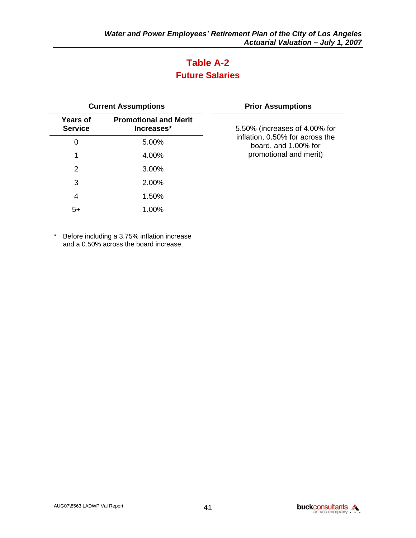## **Table A-2 Future Salaries**

| <b>Current Assumptions</b>                                                      |       | <b>Prior Assumptions</b>                                |
|---------------------------------------------------------------------------------|-------|---------------------------------------------------------|
| <b>Promotional and Merit</b><br><b>Years of</b><br><b>Service</b><br>Increases* |       | 5.50% (increases of 4.00% for                           |
| 0                                                                               | 5.00% | inflation, 0.50% for across the<br>board, and 1.00% for |
| 1                                                                               | 4.00% | promotional and merit)                                  |
| 2                                                                               | 3.00% |                                                         |
| 3                                                                               | 2.00% |                                                         |
| 4                                                                               | 1.50% |                                                         |
| $5+$                                                                            | 1.00% |                                                         |

\* Before including a 3.75% inflation increase and a 0.50% across the board increase.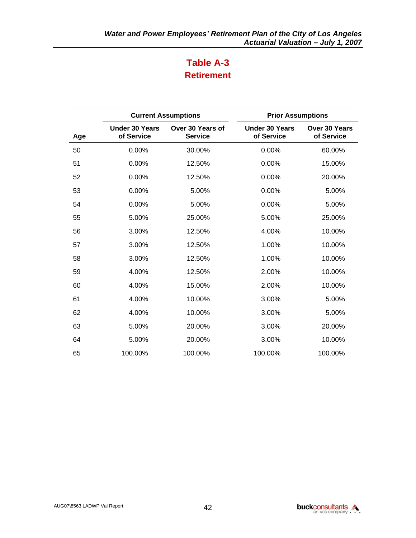## **Table A-3 Retirement**

|     | <b>Current Assumptions</b>          |                                    | <b>Prior Assumptions</b>            |                             |  |
|-----|-------------------------------------|------------------------------------|-------------------------------------|-----------------------------|--|
| Age | <b>Under 30 Years</b><br>of Service | Over 30 Years of<br><b>Service</b> | <b>Under 30 Years</b><br>of Service | Over 30 Years<br>of Service |  |
| 50  | 0.00%                               | 30.00%                             | 0.00%                               | 60.00%                      |  |
| 51  | 0.00%                               | 12.50%                             | 0.00%                               | 15.00%                      |  |
| 52  | 0.00%                               | 12.50%                             | 0.00%                               | 20.00%                      |  |
| 53  | 0.00%                               | 5.00%                              | 0.00%                               | 5.00%                       |  |
| 54  | 0.00%                               | 5.00%                              | 0.00%                               | 5.00%                       |  |
| 55  | 5.00%                               | 25.00%                             | 5.00%                               | 25.00%                      |  |
| 56  | 3.00%                               | 12.50%                             | 4.00%                               | 10.00%                      |  |
| 57  | 3.00%                               | 12.50%                             | 1.00%                               | 10.00%                      |  |
| 58  | 3.00%                               | 12.50%                             | 1.00%                               | 10.00%                      |  |
| 59  | 4.00%                               | 12.50%                             | 2.00%                               | 10.00%                      |  |
| 60  | 4.00%                               | 15.00%                             | 2.00%                               | 10.00%                      |  |
| 61  | 4.00%                               | 10.00%                             | 3.00%                               | 5.00%                       |  |
| 62  | 4.00%                               | 10.00%                             | 3.00%                               | 5.00%                       |  |
| 63  | 5.00%                               | 20.00%                             | 3.00%                               | 20.00%                      |  |
| 64  | 5.00%                               | 20.00%                             | 3.00%                               | 10.00%                      |  |
| 65  | 100.00%                             | 100.00%                            | 100.00%                             | 100.00%                     |  |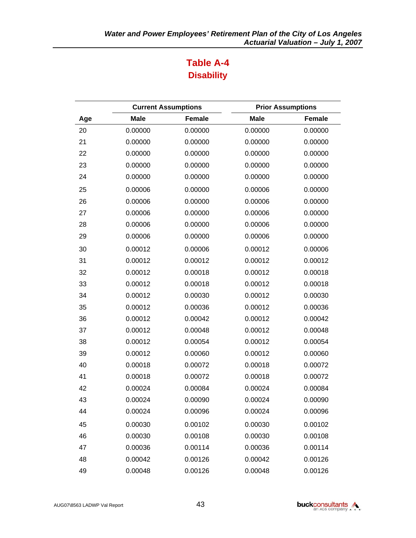## **Table A-4 Disability**

|     |             | <b>Current Assumptions</b> | <b>Prior Assumptions</b> |         |
|-----|-------------|----------------------------|--------------------------|---------|
| Age | <b>Male</b> | <b>Female</b>              | <b>Male</b>              | Female  |
| 20  | 0.00000     | 0.00000                    | 0.00000                  | 0.00000 |
| 21  | 0.00000     | 0.00000                    | 0.00000                  | 0.00000 |
| 22  | 0.00000     | 0.00000                    | 0.00000                  | 0.00000 |
| 23  | 0.00000     | 0.00000                    | 0.00000                  | 0.00000 |
| 24  | 0.00000     | 0.00000                    | 0.00000                  | 0.00000 |
| 25  | 0.00006     | 0.00000                    | 0.00006                  | 0.00000 |
| 26  | 0.00006     | 0.00000                    | 0.00006                  | 0.00000 |
| 27  | 0.00006     | 0.00000                    | 0.00006                  | 0.00000 |
| 28  | 0.00006     | 0.00000                    | 0.00006                  | 0.00000 |
| 29  | 0.00006     | 0.00000                    | 0.00006                  | 0.00000 |
| 30  | 0.00012     | 0.00006                    | 0.00012                  | 0.00006 |
| 31  | 0.00012     | 0.00012                    | 0.00012                  | 0.00012 |
| 32  | 0.00012     | 0.00018                    | 0.00012                  | 0.00018 |
| 33  | 0.00012     | 0.00018                    | 0.00012                  | 0.00018 |
| 34  | 0.00012     | 0.00030                    | 0.00012                  | 0.00030 |
| 35  | 0.00012     | 0.00036                    | 0.00012                  | 0.00036 |
| 36  | 0.00012     | 0.00042                    | 0.00012                  | 0.00042 |
| 37  | 0.00012     | 0.00048                    | 0.00012                  | 0.00048 |
| 38  | 0.00012     | 0.00054                    | 0.00012                  | 0.00054 |
| 39  | 0.00012     | 0.00060                    | 0.00012                  | 0.00060 |
| 40  | 0.00018     | 0.00072                    | 0.00018                  | 0.00072 |
| 41  | 0.00018     | 0.00072                    | 0.00018                  | 0.00072 |
| 42  | 0.00024     | 0.00084                    | 0.00024                  | 0.00084 |
| 43  | 0.00024     | 0.00090                    | 0.00024                  | 0.00090 |
| 44  | 0.00024     | 0.00096                    | 0.00024                  | 0.00096 |
| 45  | 0.00030     | 0.00102                    | 0.00030                  | 0.00102 |
| 46  | 0.00030     | 0.00108                    | 0.00030                  | 0.00108 |
| 47  | 0.00036     | 0.00114                    | 0.00036                  | 0.00114 |
| 48  | 0.00042     | 0.00126                    | 0.00042                  | 0.00126 |
| 49  | 0.00048     | 0.00126                    | 0.00048                  | 0.00126 |

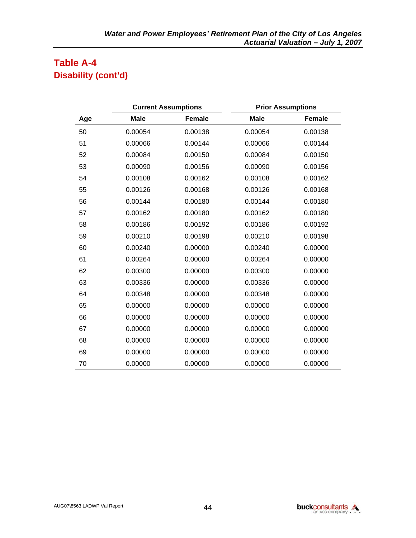## **Table A-4 Disability (cont'd)**

|     | <b>Current Assumptions</b> |               | <b>Prior Assumptions</b> |               |  |
|-----|----------------------------|---------------|--------------------------|---------------|--|
| Age | <b>Male</b>                | <b>Female</b> | <b>Male</b>              | <b>Female</b> |  |
| 50  | 0.00054                    | 0.00138       | 0.00054                  | 0.00138       |  |
| 51  | 0.00066                    | 0.00144       | 0.00066                  | 0.00144       |  |
| 52  | 0.00084                    | 0.00150       | 0.00084                  | 0.00150       |  |
| 53  | 0.00090                    | 0.00156       | 0.00090                  | 0.00156       |  |
| 54  | 0.00108                    | 0.00162       | 0.00108                  | 0.00162       |  |
| 55  | 0.00126                    | 0.00168       | 0.00126                  | 0.00168       |  |
| 56  | 0.00144                    | 0.00180       | 0.00144                  | 0.00180       |  |
| 57  | 0.00162                    | 0.00180       | 0.00162                  | 0.00180       |  |
| 58  | 0.00186                    | 0.00192       | 0.00186                  | 0.00192       |  |
| 59  | 0.00210                    | 0.00198       | 0.00210                  | 0.00198       |  |
| 60  | 0.00240                    | 0.00000       | 0.00240                  | 0.00000       |  |
| 61  | 0.00264                    | 0.00000       | 0.00264                  | 0.00000       |  |
| 62  | 0.00300                    | 0.00000       | 0.00300                  | 0.00000       |  |
| 63  | 0.00336                    | 0.00000       | 0.00336                  | 0.00000       |  |
| 64  | 0.00348                    | 0.00000       | 0.00348                  | 0.00000       |  |
| 65  | 0.00000                    | 0.00000       | 0.00000                  | 0.00000       |  |
| 66  | 0.00000                    | 0.00000       | 0.00000                  | 0.00000       |  |
| 67  | 0.00000                    | 0.00000       | 0.00000                  | 0.00000       |  |
| 68  | 0.00000                    | 0.00000       | 0.00000                  | 0.00000       |  |
| 69  | 0.00000                    | 0.00000       | 0.00000                  | 0.00000       |  |
| 70  | 0.00000                    | 0.00000       | 0.00000                  | 0.00000       |  |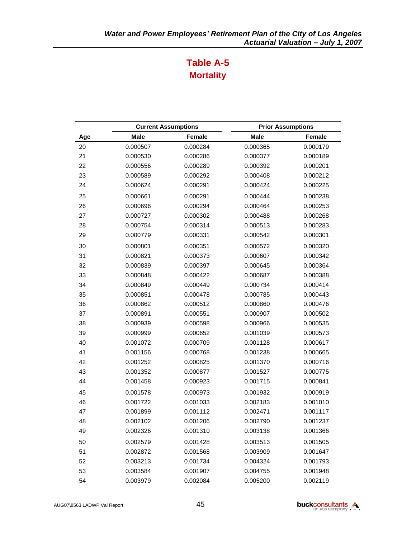## **Table A-5 Mortality**

|     |             | <b>Current Assumptions</b> |             | <b>Prior Assumptions</b> |
|-----|-------------|----------------------------|-------------|--------------------------|
| Age | <b>Male</b> | <b>Female</b>              | <b>Male</b> | Female                   |
| 20  | 0.000507    | 0.000284                   | 0.000365    | 0.000179                 |
| 21  | 0.000530    | 0.000286                   | 0.000377    | 0.000189                 |
| 22  | 0.000556    | 0.000289                   | 0.000392    | 0.000201                 |
| 23  | 0.000589    | 0.000292                   | 0.000408    | 0.000212                 |
| 24  | 0.000624    | 0.000291                   | 0.000424    | 0.000225                 |
| 25  | 0.000661    | 0.000291                   | 0.000444    | 0.000238                 |
| 26  | 0.000696    | 0.000294                   | 0.000464    | 0.000253                 |
| 27  | 0.000727    | 0.000302                   | 0.000488    | 0.000268                 |
| 28  | 0.000754    | 0.000314                   | 0.000513    | 0.000283                 |
| 29  | 0.000779    | 0.000331                   | 0.000542    | 0.000301                 |
| 30  | 0.000801    | 0.000351                   | 0.000572    | 0.000320                 |
| 31  | 0.000821    | 0.000373                   | 0.000607    | 0.000342                 |
| 32  | 0.000839    | 0.000397                   | 0.000645    | 0.000364                 |
| 33  | 0.000848    | 0.000422                   | 0.000687    | 0.000388                 |
| 34  | 0.000849    | 0.000449                   | 0.000734    | 0.000414                 |
| 35  | 0.000851    | 0.000478                   | 0.000785    | 0.000443                 |
| 36  | 0.000862    | 0.000512                   | 0.000860    | 0.000476                 |
| 37  | 0.000891    | 0.000551                   | 0.000907    | 0.000502                 |
| 38  | 0.000939    | 0.000598                   | 0.000966    | 0.000535                 |
| 39  | 0.000999    | 0.000652                   | 0.001039    | 0.000573                 |
| 40  | 0.001072    | 0.000709                   | 0.001128    | 0.000617                 |
| 41  | 0.001156    | 0.000768                   | 0.001238    | 0.000665                 |
| 42  | 0.001252    | 0.000825                   | 0.001370    | 0.000716                 |
| 43  | 0.001352    | 0.000877                   | 0.001527    | 0.000775                 |
| 44  | 0.001458    | 0.000923                   | 0.001715    | 0.000841                 |
| 45  | 0.001578    | 0.000973                   | 0.001932    | 0.000919                 |
| 46  | 0.001722    | 0.001033                   | 0.002183    | 0.001010                 |
| 47  | 0.001899    | 0.001112                   | 0.002471    | 0.001117                 |
| 48  | 0.002102    | 0.001206                   | 0.002790    | 0.001237                 |
| 49  | 0.002326    | 0.001310                   | 0.003138    | 0.001366                 |
| 50  | 0.002579    | 0.001428                   | 0.003513    | 0.001505                 |
| 51  | 0.002872    | 0.001568                   | 0.003909    | 0.001647                 |
| 52  | 0.003213    | 0.001734                   | 0.004324    | 0.001793                 |
| 53  | 0.003584    | 0.001907                   | 0.004755    | 0.001948                 |
| 54  | 0.003979    | 0.002084                   | 0.005200    | 0.002119                 |

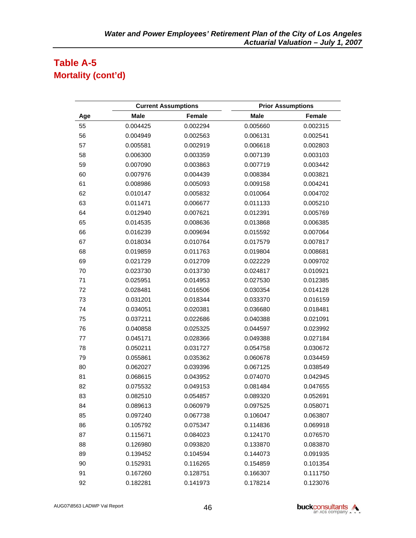## **Table A-5 Mortality (cont'd)**

|     |             | <b>Current Assumptions</b> | <b>Prior Assumptions</b> |          |  |
|-----|-------------|----------------------------|--------------------------|----------|--|
| Age | <b>Male</b> | <b>Female</b>              | <b>Male</b>              | Female   |  |
| 55  | 0.004425    | 0.002294                   | 0.005660                 | 0.002315 |  |
| 56  | 0.004949    | 0.002563                   | 0.006131                 | 0.002541 |  |
| 57  | 0.005581    | 0.002919                   | 0.006618                 | 0.002803 |  |
| 58  | 0.006300    | 0.003359                   | 0.007139                 | 0.003103 |  |
| 59  | 0.007090    | 0.003863                   | 0.007719                 | 0.003442 |  |
| 60  | 0.007976    | 0.004439                   | 0.008384                 | 0.003821 |  |
| 61  | 0.008986    | 0.005093                   | 0.009158                 | 0.004241 |  |
| 62  | 0.010147    | 0.005832                   | 0.010064                 | 0.004702 |  |
| 63  | 0.011471    | 0.006677                   | 0.011133                 | 0.005210 |  |
| 64  | 0.012940    | 0.007621                   | 0.012391                 | 0.005769 |  |
| 65  | 0.014535    | 0.008636                   | 0.013868                 | 0.006385 |  |
| 66  | 0.016239    | 0.009694                   | 0.015592                 | 0.007064 |  |
| 67  | 0.018034    | 0.010764                   | 0.017579                 | 0.007817 |  |
| 68  | 0.019859    | 0.011763                   | 0.019804                 | 0.008681 |  |
| 69  | 0.021729    | 0.012709                   | 0.022229                 | 0.009702 |  |
| 70  | 0.023730    | 0.013730                   | 0.024817                 | 0.010921 |  |
| 71  | 0.025951    | 0.014953                   | 0.027530                 | 0.012385 |  |
| 72  | 0.028481    | 0.016506                   | 0.030354                 | 0.014128 |  |
| 73  | 0.031201    | 0.018344                   | 0.033370                 | 0.016159 |  |
| 74  | 0.034051    | 0.020381                   | 0.036680                 | 0.018481 |  |
| 75  | 0.037211    | 0.022686                   | 0.040388                 | 0.021091 |  |
| 76  | 0.040858    | 0.025325                   | 0.044597                 | 0.023992 |  |
| 77  | 0.045171    | 0.028366                   | 0.049388                 | 0.027184 |  |
| 78  | 0.050211    | 0.031727                   | 0.054758                 | 0.030672 |  |
| 79  | 0.055861    | 0.035362                   | 0.060678                 | 0.034459 |  |
| 80  | 0.062027    | 0.039396                   | 0.067125                 | 0.038549 |  |
| 81  | 0.068615    | 0.043952                   | 0.074070                 | 0.042945 |  |
| 82  | 0.075532    | 0.049153                   | 0.081484                 | 0.047655 |  |
| 83  | 0.082510    | 0.054857                   | 0.089320                 | 0.052691 |  |
| 84  | 0.089613    | 0.060979                   | 0.097525                 | 0.058071 |  |
| 85  | 0.097240    | 0.067738                   | 0.106047                 | 0.063807 |  |
| 86  | 0.105792    | 0.075347                   | 0.114836                 | 0.069918 |  |
| 87  | 0.115671    | 0.084023                   | 0.124170                 | 0.076570 |  |
| 88  | 0.126980    | 0.093820                   | 0.133870                 | 0.083870 |  |
| 89  | 0.139452    | 0.104594                   | 0.144073                 | 0.091935 |  |
| 90  | 0.152931    | 0.116265                   | 0.154859                 | 0.101354 |  |
| 91  | 0.167260    | 0.128751                   | 0.166307                 | 0.111750 |  |
| 92  | 0.182281    | 0.141973                   | 0.178214                 | 0.123076 |  |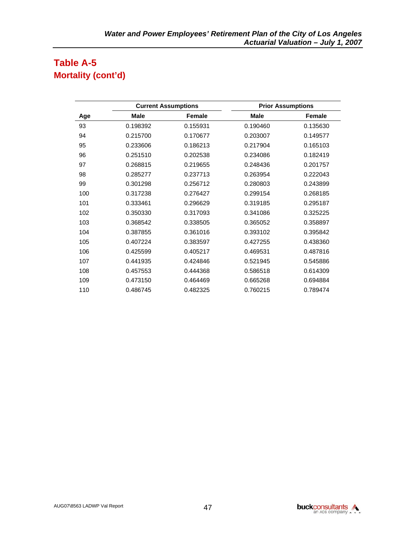## **Table A-5 Mortality (cont'd)**

|     | <b>Current Assumptions</b> |          | <b>Prior Assumptions</b> |          |
|-----|----------------------------|----------|--------------------------|----------|
| Age | <b>Male</b>                | Female   | <b>Male</b>              | Female   |
| 93  | 0.198392                   | 0.155931 | 0.190460                 | 0.135630 |
| 94  | 0.215700                   | 0.170677 | 0.203007                 | 0.149577 |
| 95  | 0.233606                   | 0.186213 | 0.217904                 | 0.165103 |
| 96  | 0.251510                   | 0.202538 | 0.234086                 | 0.182419 |
| 97  | 0.268815                   | 0.219655 | 0.248436                 | 0.201757 |
| 98  | 0.285277                   | 0.237713 | 0.263954                 | 0.222043 |
| 99  | 0.301298                   | 0.256712 | 0.280803                 | 0.243899 |
| 100 | 0.317238                   | 0.276427 | 0.299154                 | 0.268185 |
| 101 | 0.333461                   | 0.296629 | 0.319185                 | 0.295187 |
| 102 | 0.350330                   | 0.317093 | 0.341086                 | 0.325225 |
| 103 | 0.368542                   | 0.338505 | 0.365052                 | 0.358897 |
| 104 | 0.387855                   | 0.361016 | 0.393102                 | 0.395842 |
| 105 | 0.407224                   | 0.383597 | 0.427255                 | 0.438360 |
| 106 | 0.425599                   | 0.405217 | 0.469531                 | 0.487816 |
| 107 | 0.441935                   | 0.424846 | 0.521945                 | 0.545886 |
| 108 | 0.457553                   | 0.444368 | 0.586518                 | 0.614309 |
| 109 | 0.473150                   | 0.464469 | 0.665268                 | 0.694884 |
| 110 | 0.486745                   | 0.482325 | 0.760215                 | 0.789474 |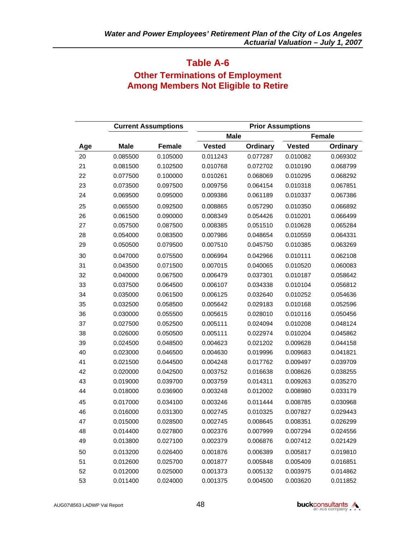### **Table A-6 Other Terminations of Employment Among Members Not Eligible to Retire**

|     |             | <b>Current Assumptions</b> | <b>Prior Assumptions</b> |          |               |               |
|-----|-------------|----------------------------|--------------------------|----------|---------------|---------------|
|     |             |                            | <b>Male</b>              |          |               | <b>Female</b> |
| Age | <b>Male</b> | Female                     | <b>Vested</b>            | Ordinary | <b>Vested</b> | Ordinary      |
| 20  | 0.085500    | 0.105000                   | 0.011243                 | 0.077287 | 0.010082      | 0.069302      |
| 21  | 0.081500    | 0.102500                   | 0.010768                 | 0.072702 | 0.010190      | 0.068799      |
| 22  | 0.077500    | 0.100000                   | 0.010261                 | 0.068069 | 0.010295      | 0.068292      |
| 23  | 0.073500    | 0.097500                   | 0.009756                 | 0.064154 | 0.010318      | 0.067851      |
| 24  | 0.069500    | 0.095000                   | 0.009386                 | 0.061189 | 0.010337      | 0.067386      |
| 25  | 0.065500    | 0.092500                   | 0.008865                 | 0.057290 | 0.010350      | 0.066892      |
| 26  | 0.061500    | 0.090000                   | 0.008349                 | 0.054426 | 0.010201      | 0.066499      |
| 27  | 0.057500    | 0.087500                   | 0.008385                 | 0.051510 | 0.010628      | 0.065284      |
| 28  | 0.054000    | 0.083500                   | 0.007986                 | 0.048654 | 0.010559      | 0.064331      |
| 29  | 0.050500    | 0.079500                   | 0.007510                 | 0.045750 | 0.010385      | 0.063269      |
| 30  | 0.047000    | 0.075500                   | 0.006994                 | 0.042966 | 0.010111      | 0.062108      |
| 31  | 0.043500    | 0.071500                   | 0.007015                 | 0.040065 | 0.010520      | 0.060083      |
| 32  | 0.040000    | 0.067500                   | 0.006479                 | 0.037301 | 0.010187      | 0.058642      |
| 33  | 0.037500    | 0.064500                   | 0.006107                 | 0.034338 | 0.010104      | 0.056812      |
| 34  | 0.035000    | 0.061500                   | 0.006125                 | 0.032640 | 0.010252      | 0.054636      |
| 35  | 0.032500    | 0.058500                   | 0.005642                 | 0.029183 | 0.010168      | 0.052596      |
| 36  | 0.030000    | 0.055500                   | 0.005615                 | 0.028010 | 0.010116      | 0.050456      |
| 37  | 0.027500    | 0.052500                   | 0.005111                 | 0.024094 | 0.010208      | 0.048124      |
| 38  | 0.026000    | 0.050500                   | 0.005111                 | 0.022974 | 0.010204      | 0.045862      |
| 39  | 0.024500    | 0.048500                   | 0.004623                 | 0.021202 | 0.009628      | 0.044158      |
| 40  | 0.023000    | 0.046500                   | 0.004630                 | 0.019996 | 0.009683      | 0.041821      |
| 41  | 0.021500    | 0.044500                   | 0.004248                 | 0.017762 | 0.009497      | 0.039709      |
| 42  | 0.020000    | 0.042500                   | 0.003752                 | 0.016638 | 0.008626      | 0.038255      |
| 43  | 0.019000    | 0.039700                   | 0.003759                 | 0.014311 | 0.009263      | 0.035270      |
| 44  | 0.018000    | 0.036900                   | 0.003248                 | 0.012002 | 0.008980      | 0.033179      |
| 45  | 0.017000    | 0.034100                   | 0.003246                 | 0.011444 | 0.008785      | 0.030968      |
| 46  | 0.016000    | 0.031300                   | 0.002745                 | 0.010325 | 0.007827      | 0.029443      |
| 47  | 0.015000    | 0.028500                   | 0.002745                 | 0.008645 | 0.008351      | 0.026299      |
| 48  | 0.014400    | 0.027800                   | 0.002376                 | 0.007999 | 0.007294      | 0.024556      |
| 49  | 0.013800    | 0.027100                   | 0.002379                 | 0.006876 | 0.007412      | 0.021429      |
| 50  | 0.013200    | 0.026400                   | 0.001876                 | 0.006389 | 0.005817      | 0.019810      |
| 51  | 0.012600    | 0.025700                   | 0.001877                 | 0.005848 | 0.005409      | 0.016851      |
| 52  | 0.012000    | 0.025000                   | 0.001373                 | 0.005132 | 0.003975      | 0.014862      |
| 53  | 0.011400    | 0.024000                   | 0.001375                 | 0.004500 | 0.003620      | 0.011852      |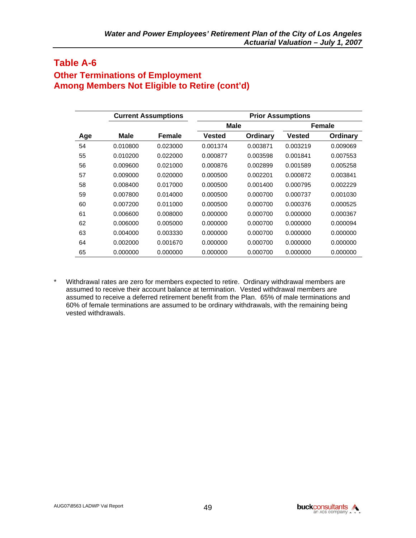### **Table A-6 Other Terminations of Employment Among Members Not Eligible to Retire (cont'd)**

|     |             | <b>Current Assumptions</b> |               |          | <b>Prior Assumptions</b> |                 |
|-----|-------------|----------------------------|---------------|----------|--------------------------|-----------------|
|     |             |                            | <b>Male</b>   |          |                          | <b>Female</b>   |
| Age | <b>Male</b> | Female                     | <b>Vested</b> | Ordinary | <b>Vested</b>            | <b>Ordinary</b> |
| 54  | 0.010800    | 0.023000                   | 0.001374      | 0.003871 | 0.003219                 | 0.009069        |
| 55  | 0.010200    | 0.022000                   | 0.000877      | 0.003598 | 0.001841                 | 0.007553        |
| 56  | 0.009600    | 0.021000                   | 0.000876      | 0.002899 | 0.001589                 | 0.005258        |
| 57  | 0.009000    | 0.020000                   | 0.000500      | 0.002201 | 0.000872                 | 0.003841        |
| 58  | 0.008400    | 0.017000                   | 0.000500      | 0.001400 | 0.000795                 | 0.002229        |
| 59  | 0.007800    | 0.014000                   | 0.000500      | 0.000700 | 0.000737                 | 0.001030        |
| 60  | 0.007200    | 0.011000                   | 0.000500      | 0.000700 | 0.000376                 | 0.000525        |
| 61  | 0.006600    | 0.008000                   | 0.000000      | 0.000700 | 0.000000                 | 0.000367        |
| 62  | 0.006000    | 0.005000                   | 0.000000      | 0.000700 | 0.000000                 | 0.000094        |
| 63  | 0.004000    | 0.003330                   | 0.000000      | 0.000700 | 0.000000                 | 0.000000        |
| 64  | 0.002000    | 0.001670                   | 0.000000      | 0.000700 | 0.000000                 | 0.000000        |
| 65  | 0.000000    | 0.000000                   | 0.000000      | 0.000700 | 0.000000                 | 0.000000        |

\* Withdrawal rates are zero for members expected to retire. Ordinary withdrawal members are assumed to receive their account balance at termination. Vested withdrawal members are assumed to receive a deferred retirement benefit from the Plan. 65% of male terminations and 60% of female terminations are assumed to be ordinary withdrawals, with the remaining being vested withdrawals.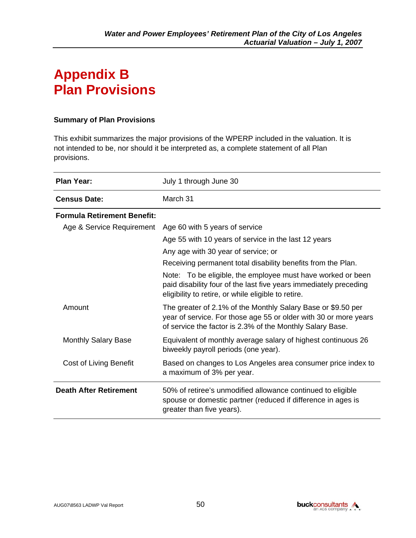## **Appendix B Plan Provisions**

#### **Summary of Plan Provisions**

This exhibit summarizes the major provisions of the WPERP included in the valuation. It is not intended to be, nor should it be interpreted as, a complete statement of all Plan provisions.

| <b>Plan Year:</b>                  | July 1 through June 30                                                                                                                                                                        |
|------------------------------------|-----------------------------------------------------------------------------------------------------------------------------------------------------------------------------------------------|
| <b>Census Date:</b>                | March 31                                                                                                                                                                                      |
| <b>Formula Retirement Benefit:</b> |                                                                                                                                                                                               |
| Age & Service Requirement          | Age 60 with 5 years of service                                                                                                                                                                |
|                                    | Age 55 with 10 years of service in the last 12 years                                                                                                                                          |
|                                    | Any age with 30 year of service; or                                                                                                                                                           |
|                                    | Receiving permanent total disability benefits from the Plan.                                                                                                                                  |
|                                    | Note: To be eligible, the employee must have worked or been<br>paid disability four of the last five years immediately preceding<br>eligibility to retire, or while eligible to retire.       |
| Amount                             | The greater of 2.1% of the Monthly Salary Base or \$9.50 per<br>year of service. For those age 55 or older with 30 or more years<br>of service the factor is 2.3% of the Monthly Salary Base. |
| <b>Monthly Salary Base</b>         | Equivalent of monthly average salary of highest continuous 26<br>biweekly payroll periods (one year).                                                                                         |
| Cost of Living Benefit             | Based on changes to Los Angeles area consumer price index to<br>a maximum of 3% per year.                                                                                                     |
| <b>Death After Retirement</b>      | 50% of retiree's unmodified allowance continued to eligible<br>spouse or domestic partner (reduced if difference in ages is<br>greater than five years).                                      |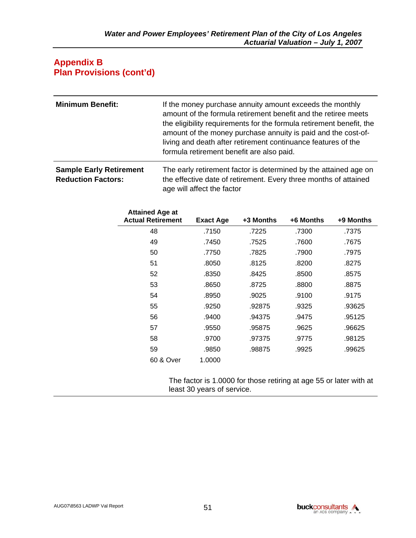#### **Appendix B Plan Provisions (cont'd)**

| <b>Minimum Benefit:</b> | If the money purchase annuity amount exceeds the monthly<br>amount of the formula retirement benefit and the retiree meets<br>the eligibility requirements for the formula retirement benefit, the<br>amount of the money purchase annuity is paid and the cost-of-<br>living and death after retirement continuance features of the<br>formula retirement benefit are also paid. |
|-------------------------|-----------------------------------------------------------------------------------------------------------------------------------------------------------------------------------------------------------------------------------------------------------------------------------------------------------------------------------------------------------------------------------|
|                         |                                                                                                                                                                                                                                                                                                                                                                                   |

**Sample Early Retirement Reduction Factors:**  The early retirement factor is determined by the attained age on the effective date of retirement. Every three months of attained age will affect the factor

| <b>Attained Age at</b><br><b>Actual Retirement</b> | <b>Exact Age</b> | +3 Months | +6 Months | +9 Months |
|----------------------------------------------------|------------------|-----------|-----------|-----------|
| 48                                                 | .7150            | .7225     | .7300     | .7375     |
| 49                                                 | .7450            | .7525     | .7600     | .7675     |
| 50                                                 | .7750            | .7825     | .7900     | .7975     |
| 51                                                 | .8050            | .8125     | .8200     | .8275     |
| 52                                                 | .8350            | .8425     | .8500     | .8575     |
| 53                                                 | .8650            | .8725     | .8800     | .8875     |
| 54                                                 | .8950            | .9025     | .9100     | .9175     |
| 55                                                 | .9250            | .92875    | .9325     | .93625    |
| 56                                                 | .9400            | .94375    | .9475     | .95125    |
| 57                                                 | .9550            | .95875    | .9625     | .96625    |
| 58                                                 | .9700            | .97375    | .9775     | .98125    |
| 59                                                 | .9850            | .98875    | .9925     | .99625    |
| 60 & Over                                          | 1.0000           |           |           |           |

The factor is 1.0000 for those retiring at age 55 or later with at least 30 years of service.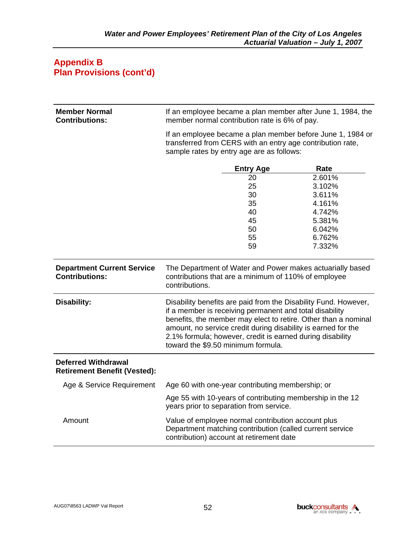#### **Appendix B Plan Provisions (cont'd)**

| <b>Member Normal</b><br><b>Contributions:</b>                     | If an employee became a plan member after June 1, 1984, the<br>member normal contribution rate is 6% of pay.                                               |                                                                                                                      |                                                                                                                                                                                                    |  |  |  |  |  |
|-------------------------------------------------------------------|------------------------------------------------------------------------------------------------------------------------------------------------------------|----------------------------------------------------------------------------------------------------------------------|----------------------------------------------------------------------------------------------------------------------------------------------------------------------------------------------------|--|--|--|--|--|
|                                                                   |                                                                                                                                                            | sample rates by entry age are as follows:                                                                            | If an employee became a plan member before June 1, 1984 or<br>transferred from CERS with an entry age contribution rate,                                                                           |  |  |  |  |  |
|                                                                   |                                                                                                                                                            | <b>Entry Age</b>                                                                                                     | Rate                                                                                                                                                                                               |  |  |  |  |  |
|                                                                   |                                                                                                                                                            | 20                                                                                                                   | 2.601%                                                                                                                                                                                             |  |  |  |  |  |
|                                                                   |                                                                                                                                                            | 25                                                                                                                   | 3.102%                                                                                                                                                                                             |  |  |  |  |  |
|                                                                   |                                                                                                                                                            | 3.611%                                                                                                               |                                                                                                                                                                                                    |  |  |  |  |  |
|                                                                   | 35<br>4.161%                                                                                                                                               |                                                                                                                      |                                                                                                                                                                                                    |  |  |  |  |  |
|                                                                   |                                                                                                                                                            | 40                                                                                                                   | 4.742%                                                                                                                                                                                             |  |  |  |  |  |
|                                                                   |                                                                                                                                                            | 45                                                                                                                   | 5.381%                                                                                                                                                                                             |  |  |  |  |  |
|                                                                   |                                                                                                                                                            | 50                                                                                                                   | 6.042%                                                                                                                                                                                             |  |  |  |  |  |
|                                                                   |                                                                                                                                                            | 55                                                                                                                   | 6.762%                                                                                                                                                                                             |  |  |  |  |  |
|                                                                   |                                                                                                                                                            | 59                                                                                                                   | 7.332%                                                                                                                                                                                             |  |  |  |  |  |
| <b>Department Current Service</b><br><b>Contributions:</b>        | contributions.                                                                                                                                             | contributions that are a minimum of 110% of employee                                                                 | The Department of Water and Power makes actuarially based                                                                                                                                          |  |  |  |  |  |
| <b>Disability:</b>                                                | toward the \$9.50 minimum formula.                                                                                                                         | if a member is receiving permanent and total disability<br>2.1% formula; however, credit is earned during disability | Disability benefits are paid from the Disability Fund. However,<br>benefits, the member may elect to retire. Other than a nominal<br>amount, no service credit during disability is earned for the |  |  |  |  |  |
| <b>Deferred Withdrawal</b><br><b>Retirement Benefit (Vested):</b> |                                                                                                                                                            |                                                                                                                      |                                                                                                                                                                                                    |  |  |  |  |  |
| Age & Service Requirement                                         |                                                                                                                                                            | Age 60 with one-year contributing membership; or                                                                     |                                                                                                                                                                                                    |  |  |  |  |  |
|                                                                   |                                                                                                                                                            | years prior to separation from service.                                                                              | Age 55 with 10-years of contributing membership in the 12                                                                                                                                          |  |  |  |  |  |
| Amount                                                            | Value of employee normal contribution account plus<br>Department matching contribution (called current service<br>contribution) account at retirement date |                                                                                                                      |                                                                                                                                                                                                    |  |  |  |  |  |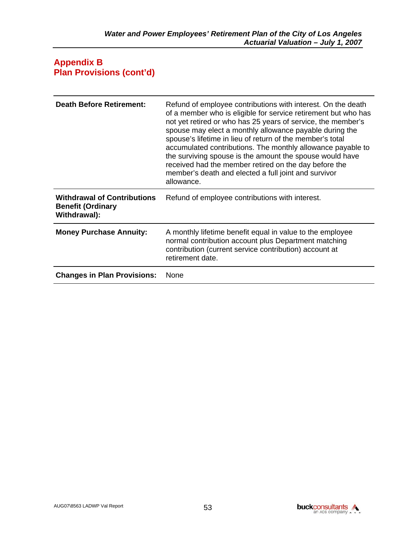#### **Appendix B Plan Provisions (cont'd)**

| <b>Death Before Retirement:</b>                                                | Refund of employee contributions with interest. On the death<br>of a member who is eligible for service retirement but who has<br>not yet retired or who has 25 years of service, the member's<br>spouse may elect a monthly allowance payable during the<br>spouse's lifetime in lieu of return of the member's total<br>accumulated contributions. The monthly allowance payable to<br>the surviving spouse is the amount the spouse would have<br>received had the member retired on the day before the<br>member's death and elected a full joint and survivor<br>allowance. |
|--------------------------------------------------------------------------------|----------------------------------------------------------------------------------------------------------------------------------------------------------------------------------------------------------------------------------------------------------------------------------------------------------------------------------------------------------------------------------------------------------------------------------------------------------------------------------------------------------------------------------------------------------------------------------|
| <b>Withdrawal of Contributions</b><br><b>Benefit (Ordinary</b><br>Withdrawal): | Refund of employee contributions with interest.                                                                                                                                                                                                                                                                                                                                                                                                                                                                                                                                  |
| <b>Money Purchase Annuity:</b>                                                 | A monthly lifetime benefit equal in value to the employee<br>normal contribution account plus Department matching<br>contribution (current service contribution) account at<br>retirement date.                                                                                                                                                                                                                                                                                                                                                                                  |
| <b>Changes in Plan Provisions:</b>                                             | None                                                                                                                                                                                                                                                                                                                                                                                                                                                                                                                                                                             |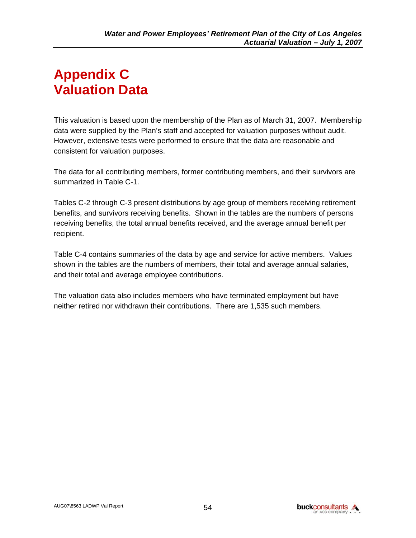# **Appendix C Valuation Data**

This valuation is based upon the membership of the Plan as of March 31, 2007. Membership data were supplied by the Plan's staff and accepted for valuation purposes without audit. However, extensive tests were performed to ensure that the data are reasonable and consistent for valuation purposes.

The data for all contributing members, former contributing members, and their survivors are summarized in Table C-1.

Tables C-2 through C-3 present distributions by age group of members receiving retirement benefits, and survivors receiving benefits. Shown in the tables are the numbers of persons receiving benefits, the total annual benefits received, and the average annual benefit per recipient.

Table C-4 contains summaries of the data by age and service for active members. Values shown in the tables are the numbers of members, their total and average annual salaries, and their total and average employee contributions.

The valuation data also includes members who have terminated employment but have neither retired nor withdrawn their contributions. There are 1,535 such members.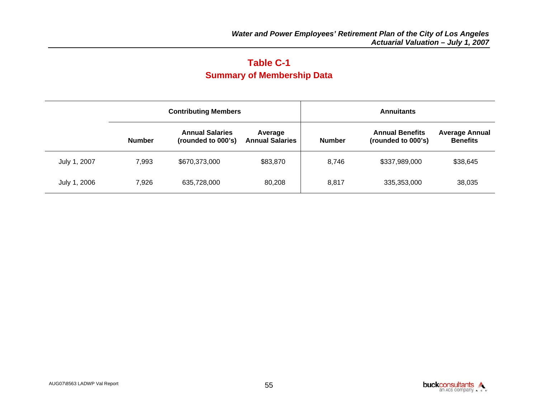## **Table C-1 Summary of Membership Data**

|              |               | <b>Contributing Members</b>                  |                                   | <b>Annuitants</b> |                                              |                                          |  |  |  |
|--------------|---------------|----------------------------------------------|-----------------------------------|-------------------|----------------------------------------------|------------------------------------------|--|--|--|
|              | <b>Number</b> | <b>Annual Salaries</b><br>(rounded to 000's) | Average<br><b>Annual Salaries</b> | <b>Number</b>     | <b>Annual Benefits</b><br>(rounded to 000's) | <b>Average Annual</b><br><b>Benefits</b> |  |  |  |
| July 1, 2007 | 7,993         | \$670,373,000                                | \$83,870                          | 8,746             | \$337,989,000                                | \$38,645                                 |  |  |  |
| July 1, 2006 | 7,926         | 635,728,000                                  | 80,208                            | 8,817             | 335,353,000                                  | 38,035                                   |  |  |  |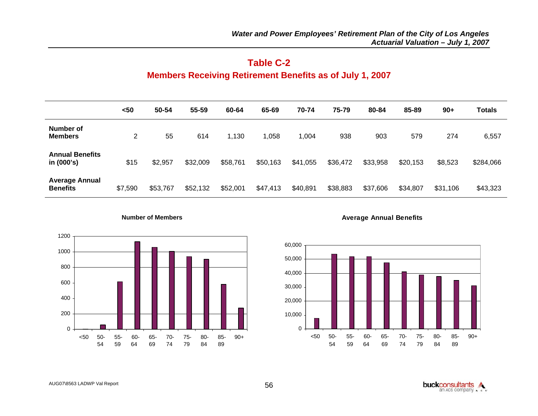## **Table C-2 Members Receiving Retirement Benefits as of July 1, 2007**

|                                          | $50$    | 50-54    | 55-59    | 60-64    | 65-69    | 70-74    | 75-79    | 80-84    | 85-89    | $90+$    | <b>Totals</b> |
|------------------------------------------|---------|----------|----------|----------|----------|----------|----------|----------|----------|----------|---------------|
| Number of<br><b>Members</b>              | 2       | 55       | 614      | 1,130    | 1,058    | 1,004    | 938      | 903      | 579      | 274      | 6,557         |
| <b>Annual Benefits</b><br>in (000's)     | \$15    | \$2,957  | \$32,009 | \$58,761 | \$50,163 | \$41,055 | \$36,472 | \$33,958 | \$20,153 | \$8,523  | \$284,066     |
| <b>Average Annual</b><br><b>Benefits</b> | \$7,590 | \$53,767 | \$52,132 | \$52,001 | \$47,413 | \$40,891 | \$38,883 | \$37,606 | \$34,807 | \$31,106 | \$43,323      |





**Average Annual Benefits**

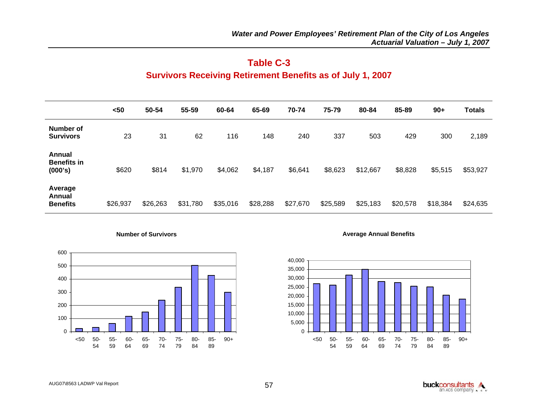## **Table C-3 Survivors Receiving Retirement Benefits as of July 1, 2007**

|                                         | $50$     | 50-54    | 55-59    | 60-64    | 65-69    | 70-74    | 75-79    | 80-84    | 85-89    | $90+$    | Totals   |
|-----------------------------------------|----------|----------|----------|----------|----------|----------|----------|----------|----------|----------|----------|
| Number of<br><b>Survivors</b>           | 23       | 31       | 62       | 116      | 148      | 240      | 337      | 503      | 429      | 300      | 2,189    |
| Annual<br><b>Benefits in</b><br>(000's) | \$620    | \$814    | \$1,970  | \$4,062  | \$4,187  | \$6,641  | \$8,623  | \$12,667 | \$8,828  | \$5,515  | \$53,927 |
| Average<br>Annual<br><b>Benefits</b>    | \$26,937 | \$26,263 | \$31,780 | \$35,016 | \$28,288 | \$27,670 | \$25,589 | \$25,183 | \$20,578 | \$18,384 | \$24,635 |

**Number of Survivors**



**Average Annual Benefits**



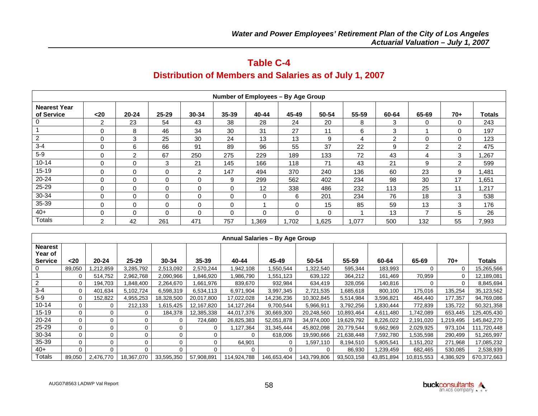## **Table C-4**

## **Distribution of Members and Salaries as of July 1, 2007**

|                                   | Number of Employees - By Age Group |          |              |          |          |          |       |       |       |                |                |                |               |
|-----------------------------------|------------------------------------|----------|--------------|----------|----------|----------|-------|-------|-------|----------------|----------------|----------------|---------------|
| <b>Nearest Year</b><br>of Service | $20$                               | 20-24    | 25-29        | 30-34    | 35-39    | 40-44    | 45-49 | 50-54 | 55-59 | 60-64          | 65-69          | $70+$          | <b>Totals</b> |
| 0                                 | $\overline{2}$                     | 23       | 54           | 43       | 38       | 28       | 24    | 20    | 8     | 3              | 0              | 0              | 243           |
|                                   | $\Omega$                           | 8        | 46           | 34       | 30       | 31       | 27    | 11    | 6     | 3              |                | O              | 197           |
| $\overline{c}$                    | 0                                  | 3        | 25           | 30       | 24       | 13       | 13    | 9     | 4     | $\mathfrak{p}$ | 0              | 0              | 123           |
| $3 - 4$                           | $\Omega$                           | 6        | 66           | 91       | 89       | 96       | 55    | 37    | 22    | 9              | $\overline{c}$ | $\overline{2}$ | 475           |
| $5-9$                             | $\Omega$                           | 2        | 67           | 250      | 275      | 229      | 189   | 133   | 72    | 43             | 4              | 3              | .267          |
| $10 - 14$                         | $\Omega$                           | $\Omega$ | 3            | 21       | 145      | 166      | 118   | 71    | 43    | 21             | 9              | $\mathcal{P}$  | 599           |
| $15-19$                           | O                                  | 0        | $\Omega$     | 2        | 147      | 494      | 370   | 240   | 136   | 60             | 23             | 9              | .481          |
| 20-24                             | $\Omega$                           | 0        | $\Omega$     | 0        | 9        | 299      | 562   | 402   | 234   | 98             | 30             | 17             | .651          |
| 25-29                             | 0                                  | 0        | $\mathbf{0}$ | $\Omega$ | 0        | 12       | 338   | 486   | 232   | 113            | 25             | 11             | .217          |
| 30-34                             | $\Omega$                           | $\Omega$ | $\Omega$     | $\Omega$ | $\Omega$ | $\Omega$ | 6     | 201   | 234   | 76             | 18             | 3              | 538           |
| 35-39                             | $\Omega$                           | 0        | $\Omega$     | 0        | 0        |          | 0     | 15    | 85    | 59             | 13             | 3              | 176           |
| $40+$                             | $\Omega$                           | $\Omega$ | $\Omega$     | $\Omega$ | 0        | 0        | 0     | 0     |       | 13             | ⇁              | 5              | 26            |
| <b>Totals</b>                     | ົ                                  | 42       | 261          | 471      | 757      | .369     | 1.702 | .625  | 1,077 | 500            | 132            | 55             | 7,993         |

|                                             |                |           |            |            |            | <b>Annual Salaries - By Age Group</b> |             |             |            |            |            |           |             |
|---------------------------------------------|----------------|-----------|------------|------------|------------|---------------------------------------|-------------|-------------|------------|------------|------------|-----------|-------------|
| <b>Nearest</b><br>Year of<br><b>Service</b> | $20$           | $20 - 24$ | $25 - 29$  | 30-34      | $35 - 39$  | 40-44                                 | 45-49       | 50-54       | 55-59      | 60-64      | 65-69      | 70+       | Totals      |
|                                             | 89,050         | .212,859  | 3,285,792  | 2,513,092  | 2,570,244  | ,942,108                              | .550,544    | 1,322,540   | 595,344    | 183,993    |            |           | 15,265,566  |
|                                             | 0              | 514,752   | 2,962,768  | 2,090,966  | 846,920    | ,986,790                              | 1,551,123   | 639,122     | 364,212    | 161,469    | 70,959     |           | 12,189,081  |
|                                             | 0              | 194,703   | 1,848,400  | 2,264,670  | 1,661,976  | 839,670                               | 932,984     | 634,419     | 328,056    | 140,816    |            | 0         | 8,845,694   |
| $3 - 4$                                     | 0              | 401,634   | 5,102,724  | 6,598,319  | 6,534,113  | 6,971,904                             | 3,997,345   | 2,721,535   | 1,685,618  | 800,100    | 175,016    | 135,254   | 35,123,562  |
| $5-9$                                       | 0              | 152,822   | 4,955,253  | 18,328,500 | 20,017,800 | 17,022,028                            | 14,236,236  | 10,302,845  | 5,514,984  | 3,596,821  | 464,440    | 177,357   | 94,769,086  |
| $10 - 14$                                   | 0              | 0         | 212,133    | 1,615,425  | 12,167,820 | 14,127,264                            | 9,700,544   | 5,966,911   | 3,792,256  | .830,444   | 772,839    | 135,722   | 50,321,358  |
| $15-19$                                     | $\overline{0}$ | 0         |            | 184,378    | 12,385,338 | 44,017,376                            | 30,669,300  | 20,248,560  | 10,893,464 | 4,611,480  | 1,742,089  | 653,445   | 125,405,430 |
| 20-24                                       | 0              | 0         |            |            | 724,680    | 26,825,383                            | 52,051,878  | 34,974,000  | 19,629,792 | 8,226,022  | 2,191,020  | ,219,495  | 145,842,270 |
| 25-29                                       | 0              | 0         |            |            |            | ,127,364                              | 31,345,444  | 45,802,098  | 20,779,544 | 9,662,969  | 2,029,925  | 973,104   | 111,720,448 |
| 30-34                                       | 0              | 0         | 0          |            |            |                                       | 618,006     | 19,590,666  | 21,638,448 | 7,592,780  | 1,535,598  | 290,499   | 51,265,997  |
| 35-39                                       | 0              | 0         | 0          |            |            | 64,901                                | 0           | 1,597,110   | 8,194,510  | 5,805,541  | 1,151,202  | 271,968   | 17,085,232  |
| $40+$                                       | 0              | $\Omega$  | $\Omega$   |            |            |                                       | $\Omega$    | ∩           | 86,930     | ,239,459   | 682,465    | 530,085   | 2,538,939   |
| Totals                                      | 89,050         | 2,476,770 | 18,367,070 | 33,595,350 | 57,908,891 | 114,924,788                           | 146,653,404 | 143,799,806 | 93,503,158 | 43,851,894 | 10,815,553 | 4,386,929 | 670,372,663 |

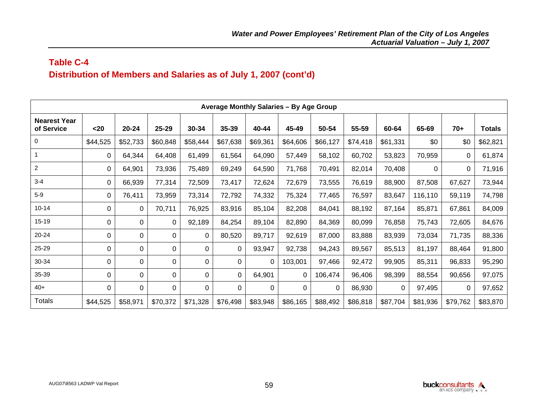## **Table C-4 Distribution of Members and Salaries as of July 1, 2007 (cont'd)**

|                                   | <b>Average Monthly Salaries - By Age Group</b> |           |          |             |              |             |          |          |          |             |          |          |               |  |
|-----------------------------------|------------------------------------------------|-----------|----------|-------------|--------------|-------------|----------|----------|----------|-------------|----------|----------|---------------|--|
| <b>Nearest Year</b><br>of Service | $20$                                           | $20 - 24$ | 25-29    | 30-34       | 35-39        | 40-44       | 45-49    | 50-54    | 55-59    | 60-64       | 65-69    | $70+$    | <b>Totals</b> |  |
| 0                                 | \$44,525                                       | \$52,733  | \$60,848 | \$58,444    | \$67,638     | \$69,361    | \$64,606 | \$66,127 | \$74,418 | \$61,331    | \$0      | \$0      | \$62,821      |  |
|                                   | 0                                              | 64,344    | 64,408   | 61,499      | 61,564       | 64,090      | 57,449   | 58,102   | 60,702   | 53,823      | 70,959   | 0        | 61,874        |  |
| $\boldsymbol{2}$                  | 0                                              | 64,901    | 73,936   | 75,489      | 69,249       | 64,590      | 71,768   | 70,491   | 82,014   | 70,408      | $\Omega$ | 0        | 71,916        |  |
| $3 - 4$                           | 0                                              | 66,939    | 77,314   | 72,509      | 73,417       | 72,624      | 72,679   | 73,555   | 76,619   | 88,900      | 87,508   | 67,627   | 73,944        |  |
| $5-9$                             | 0                                              | 76,411    | 73,959   | 73,314      | 72,792       | 74,332      | 75,324   | 77,465   | 76,597   | 83,647      | 116,110  | 59,119   | 74,798        |  |
| $10 - 14$                         | 0                                              | $\Omega$  | 70,711   | 76,925      | 83,916       | 85,104      | 82,208   | 84,041   | 88,192   | 87,164      | 85,871   | 67,861   | 84,009        |  |
| $15 - 19$                         | 0                                              | 0         | 0        | 92,189      | 84,254       | 89,104      | 82,890   | 84,369   | 80,099   | 76,858      | 75,743   | 72,605   | 84,676        |  |
| 20-24                             | 0                                              | 0         | 0        | 0           | 80,520       | 89,717      | 92,619   | 87,000   | 83,888   | 83,939      | 73,034   | 71,735   | 88,336        |  |
| 25-29                             | 0                                              | 0         | 0        | 0           | $\Omega$     | 93,947      | 92,738   | 94,243   | 89,567   | 85,513      | 81,197   | 88,464   | 91,800        |  |
| 30-34                             | 0                                              | 0         | 0        | 0           | $\mathbf{0}$ | 0           | 103,001  | 97,466   | 92,472   | 99,905      | 85,311   | 96,833   | 95,290        |  |
| 35-39                             | 0                                              | 0         | 0        | 0           | $\Omega$     | 64,901      | 0        | 106,474  | 96,406   | 98,399      | 88,554   | 90,656   | 97,075        |  |
| $40+$                             | $\mathbf 0$                                    | 0         | 0        | $\mathbf 0$ | $\Omega$     | $\mathbf 0$ | 0        | 0        | 86,930   | $\mathbf 0$ | 97,495   | $\Omega$ | 97,652        |  |
| <b>Totals</b>                     | \$44,525                                       | \$58,971  | \$70,372 | \$71,328    | \$76,498     | \$83,948    | \$86,165 | \$88,492 | \$86,818 | \$87,704    | \$81,936 | \$79,762 | \$83,870      |  |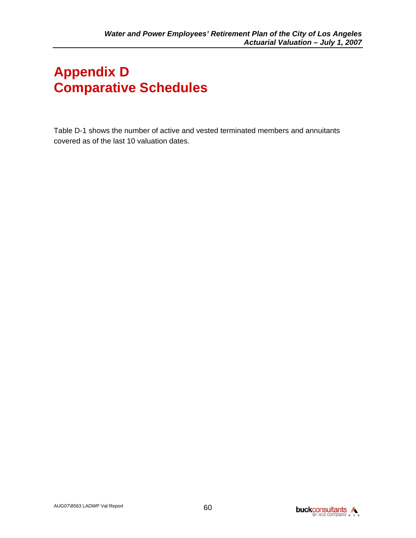# **Appendix D Comparative Schedules**

Table D-1 shows the number of active and vested terminated members and annuitants covered as of the last 10 valuation dates.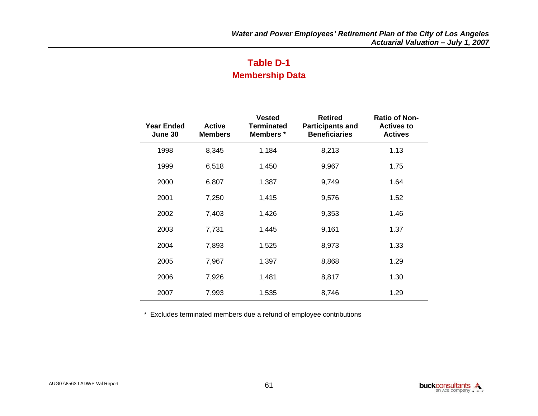## **Table D-1 Membership Data**

| <b>Year Ended</b><br>June 30 | <b>Active</b><br><b>Members</b> | <b>Vested</b><br><b>Terminated</b><br>Members * | <b>Retired</b><br><b>Participants and</b><br><b>Beneficiaries</b> | <b>Ratio of Non-</b><br><b>Actives to</b><br><b>Actives</b> |
|------------------------------|---------------------------------|-------------------------------------------------|-------------------------------------------------------------------|-------------------------------------------------------------|
| 1998                         | 8,345                           | 1,184                                           | 8,213                                                             | 1.13                                                        |
| 1999                         | 6,518                           | 1,450                                           | 9,967                                                             | 1.75                                                        |
| 2000                         | 6,807                           | 1,387                                           | 9,749                                                             | 1.64                                                        |
| 2001                         | 7,250                           | 1,415                                           | 9,576                                                             | 1.52                                                        |
| 2002                         | 7,403                           | 1,426                                           | 9,353                                                             | 1.46                                                        |
| 2003                         | 7,731                           | 1,445                                           | 9,161                                                             | 1.37                                                        |
| 2004                         | 7,893                           | 1,525                                           | 8,973                                                             | 1.33                                                        |
| 2005                         | 7,967                           | 1,397                                           | 8,868                                                             | 1.29                                                        |
| 2006                         | 7,926                           | 1,481                                           | 8,817                                                             | 1.30                                                        |
| 2007                         | 7,993                           | 1,535                                           | 8,746                                                             | 1.29                                                        |

\* Excludes terminated members due a refund of employee contributions

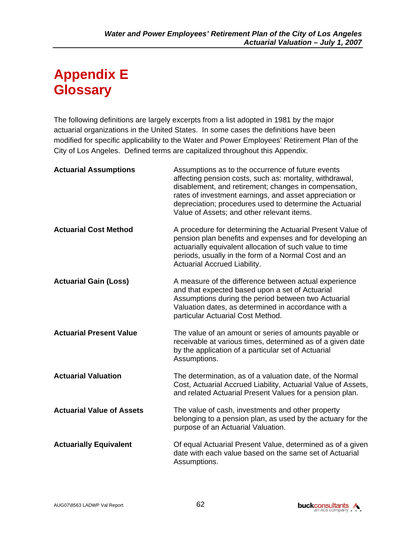## **Appendix E Glossary**

The following definitions are largely excerpts from a list adopted in 1981 by the major actuarial organizations in the United States. In some cases the definitions have been modified for specific applicability to the Water and Power Employees' Retirement Plan of the City of Los Angeles. Defined terms are capitalized throughout this Appendix.

| <b>Actuarial Assumptions</b>     | Assumptions as to the occurrence of future events<br>affecting pension costs, such as: mortality, withdrawal,<br>disablement, and retirement; changes in compensation,<br>rates of investment earnings, and asset appreciation or<br>depreciation; procedures used to determine the Actuarial<br>Value of Assets; and other relevant items. |
|----------------------------------|---------------------------------------------------------------------------------------------------------------------------------------------------------------------------------------------------------------------------------------------------------------------------------------------------------------------------------------------|
| <b>Actuarial Cost Method</b>     | A procedure for determining the Actuarial Present Value of<br>pension plan benefits and expenses and for developing an<br>actuarially equivalent allocation of such value to time<br>periods, usually in the form of a Normal Cost and an<br>Actuarial Accrued Liability.                                                                   |
| <b>Actuarial Gain (Loss)</b>     | A measure of the difference between actual experience<br>and that expected based upon a set of Actuarial<br>Assumptions during the period between two Actuarial<br>Valuation dates, as determined in accordance with a<br>particular Actuarial Cost Method.                                                                                 |
| <b>Actuarial Present Value</b>   | The value of an amount or series of amounts payable or<br>receivable at various times, determined as of a given date<br>by the application of a particular set of Actuarial<br>Assumptions.                                                                                                                                                 |
| <b>Actuarial Valuation</b>       | The determination, as of a valuation date, of the Normal<br>Cost, Actuarial Accrued Liability, Actuarial Value of Assets,<br>and related Actuarial Present Values for a pension plan.                                                                                                                                                       |
| <b>Actuarial Value of Assets</b> | The value of cash, investments and other property<br>belonging to a pension plan, as used by the actuary for the<br>purpose of an Actuarial Valuation.                                                                                                                                                                                      |
| <b>Actuarially Equivalent</b>    | Of equal Actuarial Present Value, determined as of a given<br>date with each value based on the same set of Actuarial<br>Assumptions.                                                                                                                                                                                                       |